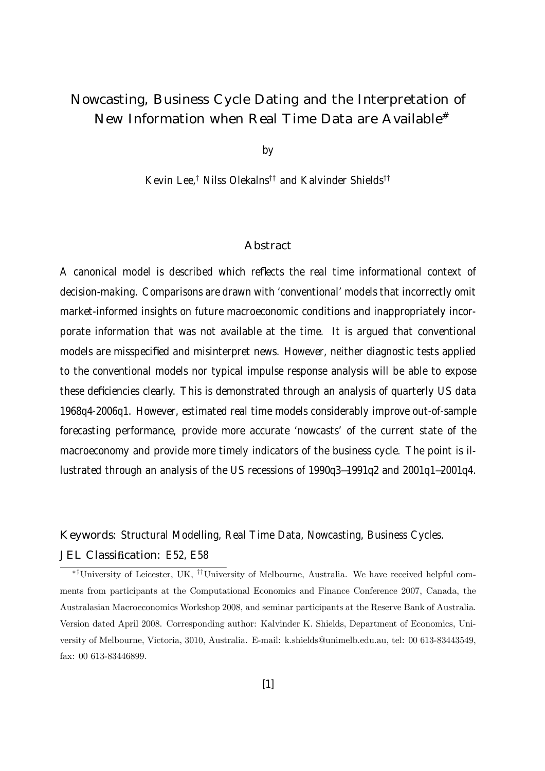# Nowcasting, Business Cycle Dating and the Interpretation of New Information when Real Time Data are Available

by

Kevin Lee,† Nilss Olekalns†† and Kalvinder Shields††

## Abstract

A canonical model is described which reflects the real time informational context of decision-making. Comparisons are drawn with 'conventional' models that incorrectly omit market-informed insights on future macroeconomic conditions and inappropriately incorporate information that was not available at the time. It is argued that conventional models are misspecified and misinterpret news. However, neither diagnostic tests applied to the conventional models nor typical impulse response analysis will be able to expose these deficiencies clearly. This is demonstrated through an analysis of quarterly US data 1968q4-2006q1. However, estimated real time models considerably improve out-of-sample forecasting performance, provide more accurate 'nowcasts' of the current state of the macroeconomy and provide more timely indicators of the business cycle. The point is illustrated through an analysis of the US recessions of 1990q3—1991q2 and 2001q1—2001q4.

Keywords: Structural Modelling, Real Time Data, Nowcasting, Business Cycles. JEL Classification: E52, E58

<sup>∗</sup>†University of Leicester, UK, ††University of Melbourne, Australia. We have received helpful comments from participants at the Computational Economics and Finance Conference 2007, Canada, the Australasian Macroeconomics Workshop 2008, and seminar participants at the Reserve Bank of Australia. Version dated April 2008. Corresponding author: Kalvinder K. Shields, Department of Economics, University of Melbourne, Victoria, 3010, Australia. E-mail: k.shields@unimelb.edu.au, tel: 00 613-83443549, fax: 00 613-83446899.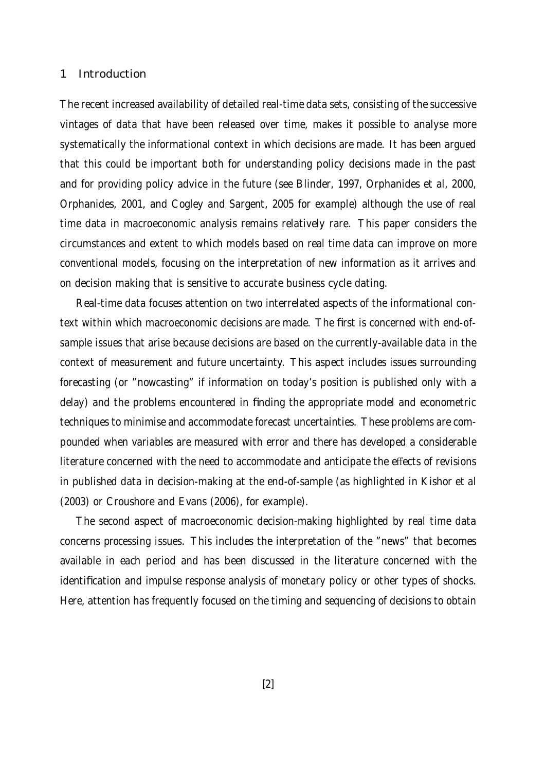#### 1 Introduction

The recent increased availability of detailed real-time data sets, consisting of the successive vintages of data that have been released over time, makes it possible to analyse more systematically the informational context in which decisions are made. It has been argued that this could be important both for understanding policy decisions made in the past and for providing policy advice in the future (see Blinder, 1997, Orphanides et al, 2000, Orphanides, 2001, and Cogley and Sargent, 2005 for example) although the use of real time data in macroeconomic analysis remains relatively rare. This paper considers the circumstances and extent to which models based on real time data can improve on more conventional models, focusing on the interpretation of new information as it arrives and on decision making that is sensitive to accurate business cycle dating.

Real-time data focuses attention on two interrelated aspects of the informational context within which macroeconomic decisions are made. The first is concerned with end-ofsample issues that arise because decisions are based on the currently-available data in the context of measurement and future uncertainty. This aspect includes issues surrounding forecasting (or "nowcasting" if information on today's position is published only with a delay) and the problems encountered in finding the appropriate model and econometric techniques to minimise and accommodate forecast uncertainties. These problems are compounded when variables are measured with error and there has developed a considerable literature concerned with the need to accommodate and anticipate the effects of revisions in published data in decision-making at the end-of-sample (as highlighted in Kishor et al (2003) or Croushore and Evans (2006), for example).

The second aspect of macroeconomic decision-making highlighted by real time data concerns processing issues. This includes the interpretation of the "news" that becomes available in each period and has been discussed in the literature concerned with the identification and impulse response analysis of monetary policy or other types of shocks. Here, attention has frequently focused on the timing and sequencing of decisions to obtain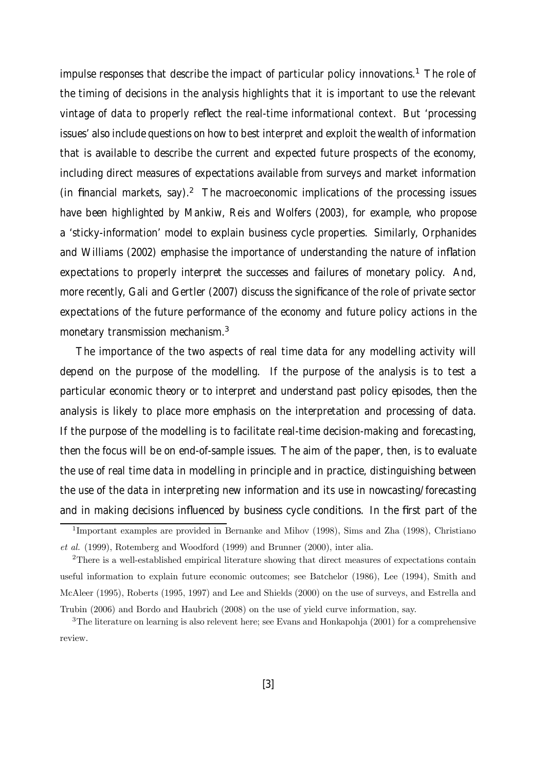impulse responses that describe the impact of particular policy innovations.<sup>1</sup> The role of the timing of decisions in the analysis highlights that it is important to use the relevant vintage of data to properly reflect the real-time informational context. But 'processing issues' also include questions on how to best interpret and exploit the wealth of information that is available to describe the current and expected future prospects of the economy, including direct measures of expectations available from surveys and market information (in financial markets, say). $2$  The macroeconomic implications of the processing issues have been highlighted by Mankiw, Reis and Wolfers (2003), for example, who propose a 'sticky-information' model to explain business cycle properties. Similarly, Orphanides and Williams (2002) emphasise the importance of understanding the nature of inflation expectations to properly interpret the successes and failures of monetary policy. And, more recently, Gali and Gertler (2007) discuss the significance of the role of private sector expectations of the future performance of the economy and future policy actions in the monetary transmission mechanism.<sup>3</sup>

The importance of the two aspects of real time data for any modelling activity will depend on the purpose of the modelling. If the purpose of the analysis is to test a particular economic theory or to interpret and understand past policy episodes, then the analysis is likely to place more emphasis on the interpretation and processing of data. If the purpose of the modelling is to facilitate real-time decision-making and forecasting, then the focus will be on end-of-sample issues. The aim of the paper, then, is to evaluate the use of real time data in modelling in principle and in practice, distinguishing between the use of the data in interpreting new information and its use in nowcasting/forecasting and in making decisions influenced by business cycle conditions. In the first part of the

<sup>&</sup>lt;sup>1</sup>Important examples are provided in Bernanke and Mihov (1998), Sims and Zha (1998), Christiano et al. (1999), Rotemberg and Woodford (1999) and Brunner (2000), inter alia.

<sup>2</sup>There is a well-established empirical literature showing that direct measures of expectations contain useful information to explain future economic outcomes; see Batchelor (1986), Lee (1994), Smith and McAleer (1995), Roberts (1995, 1997) and Lee and Shields (2000) on the use of surveys, and Estrella and Trubin (2006) and Bordo and Haubrich (2008) on the use of yield curve information, say.

<sup>3</sup>The literature on learning is also relevent here; see Evans and Honkapohja (2001) for a comprehensive review.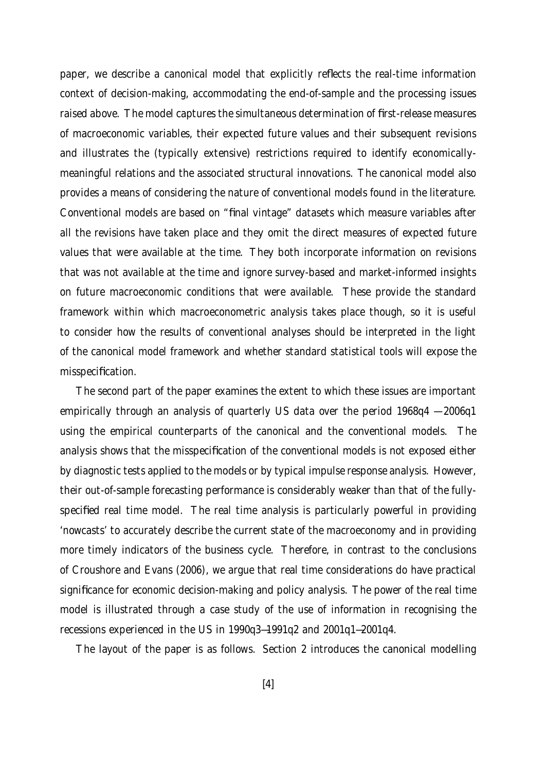paper, we describe a canonical model that explicitly reflects the real-time information context of decision-making, accommodating the end-of-sample and the processing issues raised above. The model captures the simultaneous determination of first-release measures of macroeconomic variables, their expected future values and their subsequent revisions and illustrates the (typically extensive) restrictions required to identify economicallymeaningful relations and the associated structural innovations. The canonical model also provides a means of considering the nature of conventional models found in the literature. Conventional models are based on "final vintage" datasets which measure variables after all the revisions have taken place and they omit the direct measures of expected future values that were available at the time. They both incorporate information on revisions that was not available at the time and ignore survey-based and market-informed insights on future macroeconomic conditions that were available. These provide the standard framework within which macroeconometric analysis takes place though, so it is useful to consider how the results of conventional analyses should be interpreted in the light of the canonical model framework and whether standard statistical tools will expose the misspecification.

The second part of the paper examines the extent to which these issues are important empirically through an analysis of quarterly US data over the period 1968q4 — 2006q1 using the empirical counterparts of the canonical and the conventional models. The analysis shows that the misspecification of the conventional models is not exposed either by diagnostic tests applied to the models or by typical impulse response analysis. However, their out-of-sample forecasting performance is considerably weaker than that of the fullyspecified real time model. The real time analysis is particularly powerful in providing 'nowcasts' to accurately describe the current state of the macroeconomy and in providing more timely indicators of the business cycle. Therefore, in contrast to the conclusions of Croushore and Evans (2006), we argue that real time considerations do have practical significance for economic decision-making and policy analysis. The power of the real time model is illustrated through a case study of the use of information in recognising the recessions experienced in the US in 1990q3—1991q2 and 2001q1—2001q4.

The layout of the paper is as follows. Section 2 introduces the canonical modelling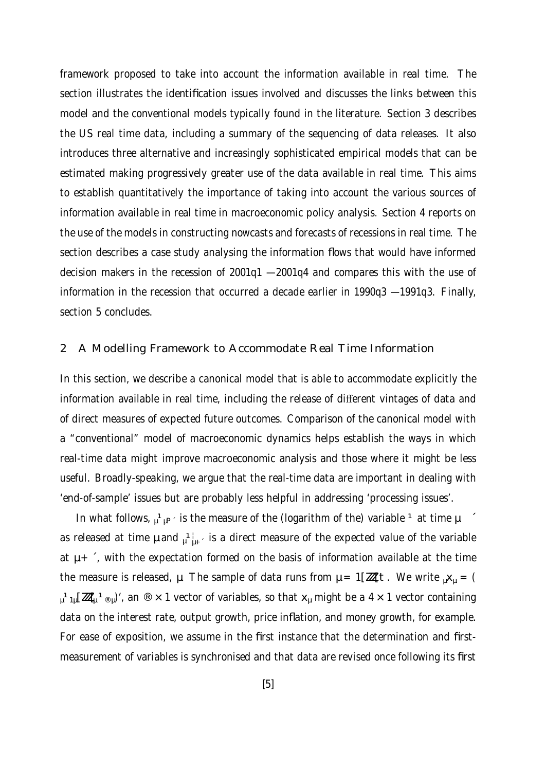framework proposed to take into account the information available in real time. The section illustrates the identification issues involved and discusses the links between this model and the conventional models typically found in the literature. Section 3 describes the US real time data, including a summary of the sequencing of data releases. It also introduces three alternative and increasingly sophisticated empirical models that can be estimated making progressively greater use of the data available in real time. This aims to establish quantitatively the importance of taking into account the various sources of information available in real time in macroeconomic policy analysis. Section 4 reports on the use of the models in constructing nowcasts and forecasts of recessions in real time. The section describes a case study analysing the information flows that would have informed decision makers in the recession of 2001q1 — 2001q4 and compares this with the use of information in the recession that occurred a decade earlier in 1990q3 — 1991q3. Finally, section 5 concludes.

# 2 A Modelling Framework to Accommodate Real Time Information

In this section, we describe a canonical model that is able to accommodate explicitly the information available in real time, including the release of different vintages of data and of direct measures of expected future outcomes. Comparison of the canonical model with a "conventional" model of macroeconomic dynamics helps establish the ways in which real-time data might improve macroeconomic analysis and those where it might be less useful. Broadly-speaking, we argue that the real-time data are important in dealing with 'end-of-sample' issues but are probably less helpful in addressing 'processing issues'.

In what follows,  $tX_{t-s}$  is the measure of the (logarithm of the) variable x at time t – s as released at time t and  ${}_{\mathsf{t}}\mathsf{x}_{\mathsf{t+s}}^{\mathsf{e}}$  is a direct measure of the expected value of the variable at  $t + s$ , with the expectation formed on the basis of information available at the time the measure is released, t. The sample of data runs from  $t = 1, ..., T$ . We write  ${}_{t}x_{t} = ($  $_{\text{t}}$ x<sub>1t</sub>, ...,<sub>t</sub> x<sub>mt</sub>)', an m  $\times$  1 vector of variables, so that  $\mathbf{x}_{\text{t}}$  might be a 4  $\times$  1 vector containing data on the interest rate, output growth, price inflation, and money growth, for example. For ease of exposition, we assume in the first instance that the determination and firstmeasurement of variables is synchronised and that data are revised once following its first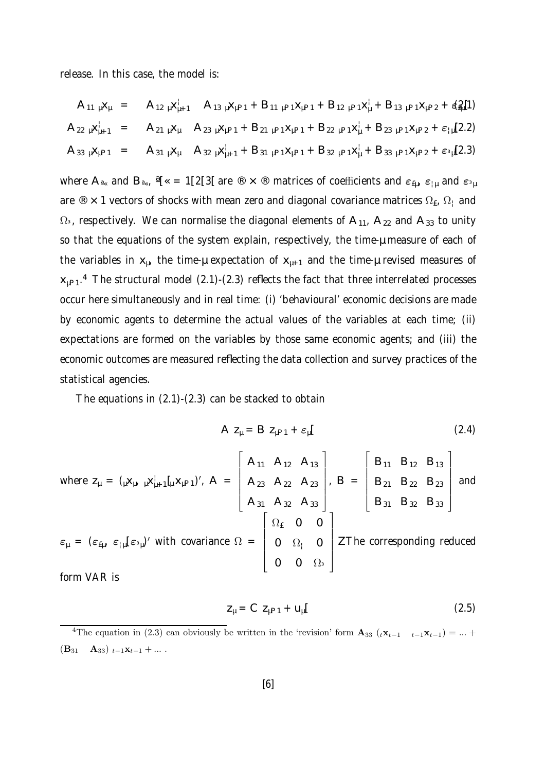release. In this case, the model is:

$$
A_{11 t}x_{t} = -A_{12 t}x_{t+1}^{e} - A_{13 t}x_{t-1} + B_{11 t-1}x_{t-1} + B_{12 t-1}x_{t}^{e} + B_{13 t-1}x_{t-2} + d_{13t}x_{t})
$$
\n
$$
A_{22 t}x_{t+1}^{e} = -A_{21 t}x_{t} - A_{23 t}x_{t-1} + B_{21 t-1}x_{t-1} + B_{22 t-1}x_{t}^{e} + B_{23 t-1}x_{t-2} + \epsilon_{et}(2.2)
$$
\n
$$
A_{33 t}x_{t-1} = -A_{31 t}x_{t} - A_{32 t}x_{t+1}^{e} + B_{31 t-1}x_{t-1} + B_{32 t-1}x_{t}^{e} + B_{33 t-1}x_{t-2} + \epsilon_{rt}(2.3)
$$

where  $A_{ij}$  and  $B_{ij}$ , i, j = 1, 2, 3, are m  $\times$  m matrices of coefficients and  $\varepsilon_{bt}$ ,  $\varepsilon_{et}$  and  $\varepsilon_{rt}$ are m  $\times$  1 vectors of shocks with mean zero and diagonal covariance matrices  $\Omega_{\sf b}$ ,  $\Omega_{\sf e}$  and  $\Omega_r$ , respectively. We can normalise the diagonal elements of  $A_{11}$ ,  $A_{22}$  and  $A_{33}$  to unity so that the equations of the system explain, respectively, the time-t measure of each of the variables in  $x_t$ , the time-t expectation of  $x_{t+1}$  and the time-t revised measures of  $x_{t-1}$ .<sup>4</sup> The structural model (2.1)-(2.3) reflects the fact that three interrelated processes occur here simultaneously and in real time: (i) 'behavioural' economic decisions are made by economic agents to determine the actual values of the variables at each time; (ii) expectations are formed on the variables by those same economic agents; and (iii) the economic outcomes are measured reflecting the data collection and survey practices of the statistical agencies.

The equations in (2.1)-(2.3) can be stacked to obtain

$$
A z_{t} = B z_{t-1} + \varepsilon_{t},
$$
\n(2.4)\nwhere  $z_{t} = ({}_{t}x_{t}, {}_{t}x_{t+1,t}^{e}x_{t-1})', A = \begin{bmatrix} A_{11} & A_{12} & A_{13} \ A_{23} & A_{22} & A_{23} \ A_{31} & A_{32} & A_{33} \end{bmatrix}, B = \begin{bmatrix} B_{11} & B_{12} & B_{13} \ B_{21} & B_{22} & B_{23} \ B_{31} & B_{32} & B_{33} \end{bmatrix}$  and  $\varepsilon_{t} = (\varepsilon_{bt}, \varepsilon_{et}, \varepsilon_{rt})'$  with covariance  $\Omega = \begin{bmatrix} \Omega_{b} & 0 & 0 \ 0 & \Omega_{e} & 0 \ 0 & 0 & \Omega_{r} \end{bmatrix}$ . The corresponding reduced form  $\text{VAR}$  is

form VAR is

$$
\mathbf{z}_{t} = \mathbf{C} \ \mathbf{z}_{t-1} + \mathbf{u}_{t}, \tag{2.5}
$$

<sup>&</sup>lt;sup>4</sup>The equation in (2.3) can obviously be written in the 'revision' form  $\mathbf{A}_{33}$  ( $_t\mathbf{x}_{t-1}$  -  $_{t-1}\mathbf{x}_{t-1}$ ) = ... +  $(\mathbf{B}_{31} - \mathbf{A}_{33})_{t-1}\mathbf{x}_{t-1} + ...$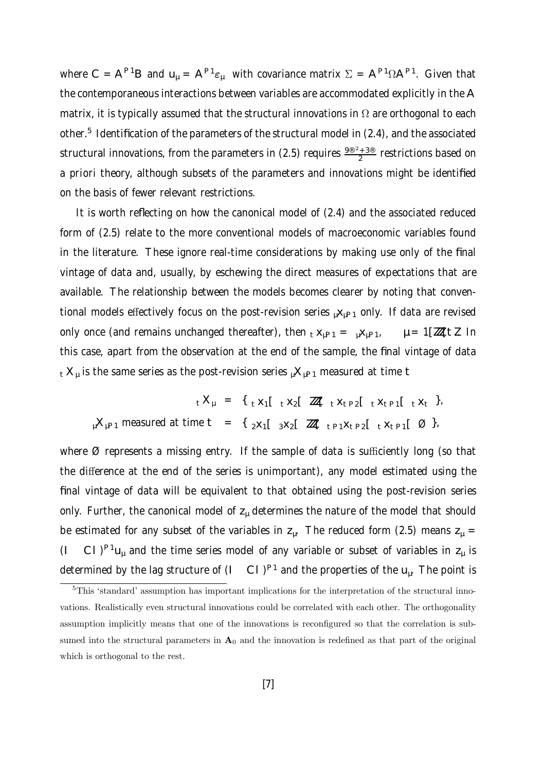where  $C = A^{-1}B$  and  $u_t = A^{-1}\varepsilon_t$  with covariance matrix  $\Sigma = A^{-1}\Omega A^{-1}$ . Given that the contemporaneous interactions between variables are accommodated explicitly in the A matrix, it is typically assumed that the structural innovations in  $\Omega$  are orthogonal to each other.<sup>5</sup> Identification of the parameters of the structural model in (2.4), and the associated structural innovations, from the parameters in (2.5) requires  $\frac{9 \text{m}^2 + 3 \text{m}}{2}$  restrictions based on a priori theory, although subsets of the parameters and innovations might be identified on the basis of fewer relevant restrictions.

It is worth reflecting on how the canonical model of (2.4) and the associated reduced form of (2.5) relate to the more conventional models of macroeconomic variables found in the literature. These ignore real-time considerations by making use only of the final vintage of data and, usually, by eschewing the direct measures of expectations that are available. The relationship between the models becomes clearer by noting that conventional models effectively focus on the post-revision series <sub>t</sub>x<sub>t-1</sub> only. If data are revised only once (and remains unchanged thereafter), then  $_{T} x_{t-1} = _{t} x_{t-1}$ ,  $t = 1, ..., T$ . In this case, apart from the observation at the end of the sample, the final vintage of data TX<sub>t</sub> is the same series as the post-revision series <sub>t</sub>X<sub>t−1</sub> measured at time T

$$
{}_{T}X_{t} = \{ {}_{T}x_{1}, {}_{T}x_{2}, {}_{\ldots, {}_{T}x_{T-2}, {}_{T}x_{T-1}, {}_{T}x_{T}} \},
$$
  

$$
{}_{t}X_{t-1}
$$
 measured at time T = { ${}_{2}x_{1}, {}_{3}x_{2}, {}_{\ldots, {}_{T-1}x_{T-2}, {}_{T}x_{T-1}, {}_{\varnothing} \},$ 

where  $\varnothing$  represents a missing entry. If the sample of data is sufficiently long (so that the difference at the end of the series is unimportant), any model estimated using the final vintage of data will be equivalent to that obtained using the post-revision series only. Further, the canonical model of  $z<sub>t</sub>$  determines the nature of the model that should be estimated for any subset of the variables in  $z_t$ . The reduced form (2.5) means  $z_t$  =  $(I - CL)^{-1}u_t$  and the time series model of any variable or subset of variables in  $z_t$  is determined by the lag structure of  $(I - CL)^{-1}$  and the properties of the  $u_t$ . The point is

<sup>5</sup>This 'standard' assumption has important implications for the interpretation of the structural innovations. Realistically even structural innovations could be correlated with each other. The orthogonality assumption implicitly means that one of the innovations is reconfigured so that the correlation is subsumed into the structural parameters in  $A_0$  and the innovation is redefined as that part of the original which is orthogonal to the rest.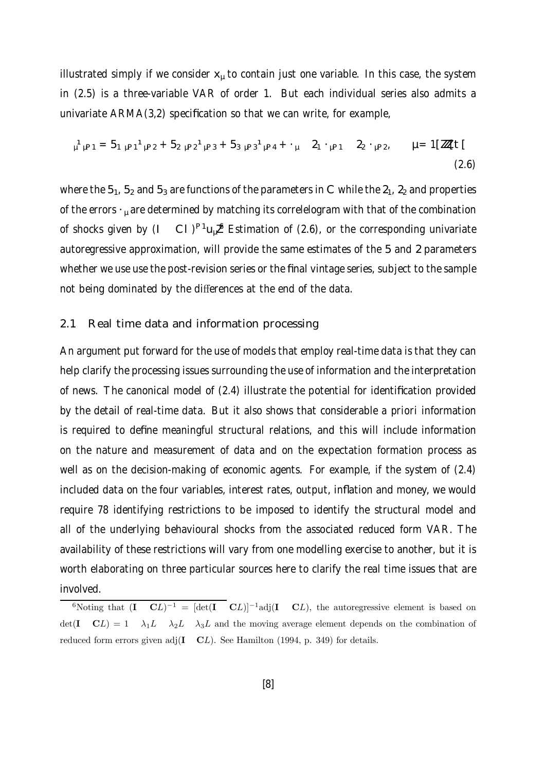illustrated simply if we consider  $x_t$  to contain just one variable. In this case, the system in (2.5) is a three-variable VAR of order 1. But each individual series also admits a univariate ARMA(3,2) specification so that we can write, for example,

$$
tX_{t-1} = 1 t - 1X_{t-2} + 2 t - 2X_{t-3} + 3 t - 3X_{t-4} + V_t - 1 V_{t-1} - 2 V_{t-2}, \t t = 1, ..., T,
$$
\n(2.6)

where the  $_{1}$ ,  $_{2}$  and  $_{3}$  are functions of the parameters in C while the  $_{1}$ ,  $_{2}$  and properties of the errors  $v_t$  are determined by matching its correlelogram with that of the combination of shocks given by  $(I - CL)^{-1}u_t$ . Estimation of (2.6), or the corresponding univariate autoregressive approximation, will provide the same estimates of the and parameters whether we use use the post-revision series or the final vintage series, subject to the sample not being dominated by the differences at the end of the data.

#### 2.1 Real time data and information processing

An argument put forward for the use of models that employ real-time data is that they can help clarify the processing issues surrounding the use of information and the interpretation of news. The canonical model of (2.4) illustrate the potential for identification provided by the detail of real-time data. But it also shows that considerable a priori information is required to define meaningful structural relations, and this will include information on the nature and measurement of data and on the expectation formation process as well as on the decision-making of economic agents. For example, if the system of (2.4) included data on the four variables, interest rates, output, inflation and money, we would require 78 identifying restrictions to be imposed to identify the structural model and all of the underlying behavioural shocks from the associated reduced form VAR. The availability of these restrictions will vary from one modelling exercise to another, but it is worth elaborating on three particular sources here to clarify the real time issues that are involved.

<sup>6</sup>Noting that  $(I - CL)^{-1} = [det(I - CL)]^{-1}$ adj $(I - CL)$ , the autoregressive element is based on  $\det(\mathbf{I} - \mathbf{C}L) = 1 - \lambda_1 L - \lambda_2 L - \lambda_3 L$  and the moving average element depends on the combination of reduced form errors given adj( $I - CL$ ). See Hamilton (1994, p. 349) for details.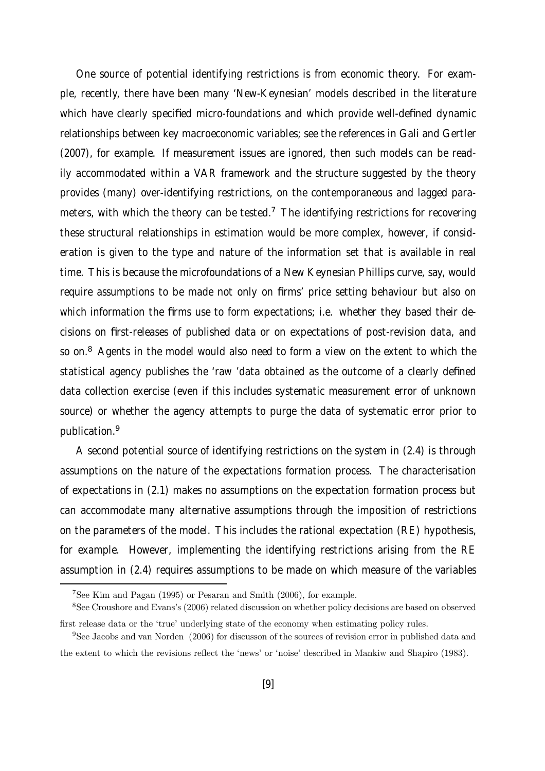One source of potential identifying restrictions is from economic theory. For example, recently, there have been many 'New-Keynesian' models described in the literature which have clearly specified micro-foundations and which provide well-defined dynamic relationships between key macroeconomic variables; see the references in Gali and Gertler (2007), for example. If measurement issues are ignored, then such models can be readily accommodated within a VAR framework and the structure suggested by the theory provides (many) over-identifying restrictions, on the contemporaneous and lagged parameters, with which the theory can be tested.<sup>7</sup> The identifying restrictions for recovering these structural relationships in estimation would be more complex, however, if consideration is given to the type and nature of the information set that is available in real time. This is because the microfoundations of a New Keynesian Phillips curve, say, would require assumptions to be made not only on firms' price setting behaviour but also on which information the firms use to form expectations; i.e. whether they based their decisions on first-releases of published data or on expectations of post-revision data, and so on.<sup>8</sup> Agents in the model would also need to form a view on the extent to which the statistical agency publishes the 'raw 'data obtained as the outcome of a clearly defined data collection exercise (even if this includes systematic measurement error of unknown source) or whether the agency attempts to purge the data of systematic error prior to publication.<sup>9</sup>

A second potential source of identifying restrictions on the system in (2.4) is through assumptions on the nature of the expectations formation process. The characterisation of expectations in (2.1) makes no assumptions on the expectation formation process but can accommodate many alternative assumptions through the imposition of restrictions on the parameters of the model. This includes the rational expectation (RE) hypothesis, for example. However, implementing the identifying restrictions arising from the RE assumption in (2.4) requires assumptions to be made on which measure of the variables

<sup>7</sup>See Kim and Pagan (1995) or Pesaran and Smith (2006), for example.

<sup>8</sup>See Croushore and Evans's (2006) related discussion on whether policy decisions are based on observed first release data or the 'true' underlying state of the economy when estimating policy rules.

<sup>9</sup>See Jacobs and van Norden (2006) for discusson of the sources of revision error in published data and

the extent to which the revisions reflect the 'news' or 'noise' described in Mankiw and Shapiro (1983).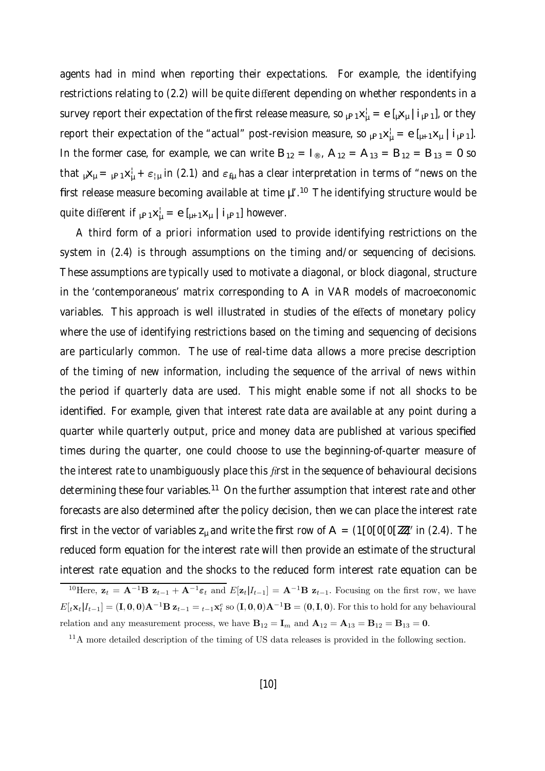agents had in mind when reporting their expectations. For example, the identifying restrictions relating to (2.2) will be quite different depending on whether respondents in a survey report their expectation of the first release measure, so <sub>t−1</sub> $\mathbf{x}_t^e = \mathsf{E}\left[\frac{1}{t} \mathbf{x}_t \mid \mathbf{I}_{t-1}\right]$ , or they report their expectation of the "actual" post-revision measure, so <sub>t−1</sub> $\mathbf{x}_t^e$  = E [<sub>t+1</sub> $\mathbf{x}_t$  | I<sub>t−1</sub>]. In the former case, for example, we can write  $B_{12} = I_m$ ,  $A_{12} = A_{13} = B_{12} = B_{13} = 0$  so that <sub>t</sub> $x_t = t_{-1}x_t^e + \epsilon_{et}$  in (2.1) and  $\epsilon_{bt}$  has a clear interpretation in terms of "news on the first release measure becoming available at time  $t^{\prime\prime}$ .<sup>10</sup> The identifying structure would be quite different if  $_{t-1}x_t^e = E[t_{t+1}x_t | I_{t-1}]$  however.

A third form of a priori information used to provide identifying restrictions on the system in (2.4) is through assumptions on the timing and/or sequencing of decisions. These assumptions are typically used to motivate a diagonal, or block diagonal, structure in the 'contemporaneous' matrix corresponding to  $A$  in VAR models of macroeconomic variables. This approach is well illustrated in studies of the effects of monetary policy where the use of identifying restrictions based on the timing and sequencing of decisions are particularly common. The use of real-time data allows a more precise description of the timing of new information, including the sequence of the arrival of news within the period if quarterly data are used. This might enable some if not all shocks to be identified. For example, given that interest rate data are available at any point during a quarter while quarterly output, price and money data are published at various specified times during the quarter, one could choose to use the beginning-of-quarter measure of the interest rate to unambiguously place this *first* in the sequence of behavioural decisions determining these four variables.<sup>11</sup> On the further assumption that interest rate and other forecasts are also determined after the policy decision, then we can place the interest rate first in the vector of variables  $z_t$  and write the first row of  $A = (1, 0, 0, 0, ...)$  in (2.4). The reduced form equation for the interest rate will then provide an estimate of the structural interest rate equation and the shocks to the reduced form interest rate equation can be

<sup>10</sup>Here,  $\mathbf{z}_t = \mathbf{A}^{-1} \mathbf{B} \mathbf{z}_{t-1} + \mathbf{A}^{-1} \boldsymbol{\varepsilon}_t$  and  $E[\mathbf{z}_t | I_{t-1}] = \mathbf{A}^{-1} \mathbf{B} \mathbf{z}_{t-1}$ . Focusing on the first row, we have  $E[tX_t|I_{t-1}] = (\mathbf{I}, \mathbf{0}, \mathbf{0})\mathbf{A}^{-1}\mathbf{B} \mathbf{z}_{t-1} = t_{-1}X_t^e$  so  $(\mathbf{I}, \mathbf{0}, \mathbf{0})\mathbf{A}^{-1}\mathbf{B} = (\mathbf{0}, \mathbf{I}, \mathbf{0})$ . For this to hold for any behavioural relation and any measurement process, we have  $B_{12} = I_m$  and  $A_{12} = A_{13} = B_{12} = B_{13} = 0$ .

<sup>&</sup>lt;sup>11</sup>A more detailed description of the timing of US data releases is provided in the following section.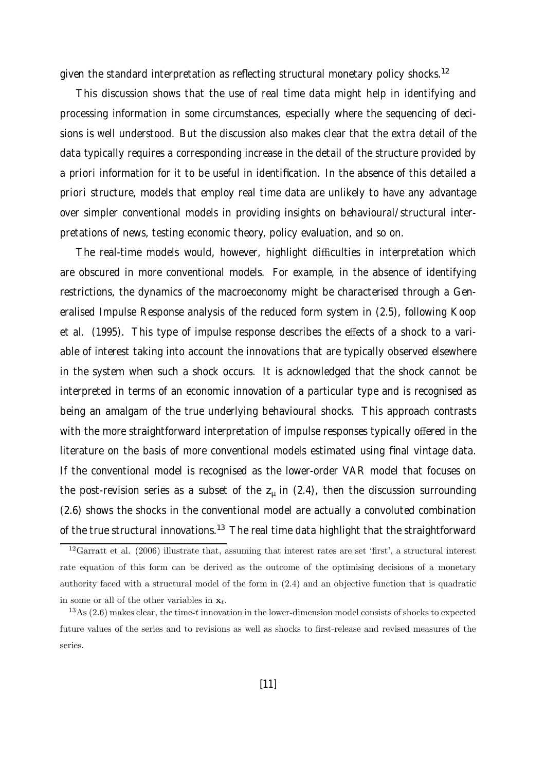given the standard interpretation as reflecting structural monetary policy shocks.<sup>12</sup>

This discussion shows that the use of real time data might help in identifying and processing information in some circumstances, especially where the sequencing of decisions is well understood. But the discussion also makes clear that the extra detail of the data typically requires a corresponding increase in the detail of the structure provided by a priori information for it to be useful in identification. In the absence of this detailed a priori structure, models that employ real time data are unlikely to have any advantage over simpler conventional models in providing insights on behavioural/structural interpretations of news, testing economic theory, policy evaluation, and so on.

The real-time models would, however, highlight difficulties in interpretation which are obscured in more conventional models. For example, in the absence of identifying restrictions, the dynamics of the macroeconomy might be characterised through a Generalised Impulse Response analysis of the reduced form system in (2.5), following Koop et al. (1995). This type of impulse response describes the effects of a shock to a variable of interest taking into account the innovations that are typically observed elsewhere in the system when such a shock occurs. It is acknowledged that the shock cannot be interpreted in terms of an economic innovation of a particular type and is recognised as being an amalgam of the true underlying behavioural shocks. This approach contrasts with the more straightforward interpretation of impulse responses typically offered in the literature on the basis of more conventional models estimated using final vintage data. If the conventional model is recognised as the lower-order VAR model that focuses on the post-revision series as a subset of the  $z<sub>t</sub>$  in (2.4), then the discussion surrounding (2.6) shows the shocks in the conventional model are actually a convoluted combination of the true structural innovations.<sup>13</sup> The real time data highlight that the straightforward

<sup>12</sup>Garratt et al. (2006) illustrate that, assuming that interest rates are set 'first', a structural interest rate equation of this form can be derived as the outcome of the optimising decisions of a monetary authority faced with a structural model of the form in (2.4) and an objective function that is quadratic in some or all of the other variables in  $x_t$ .

<sup>&</sup>lt;sup>13</sup>As (2.6) makes clear, the time-t innovation in the lower-dimension model consists of shocks to expected future values of the series and to revisions as well as shocks to first-release and revised measures of the series.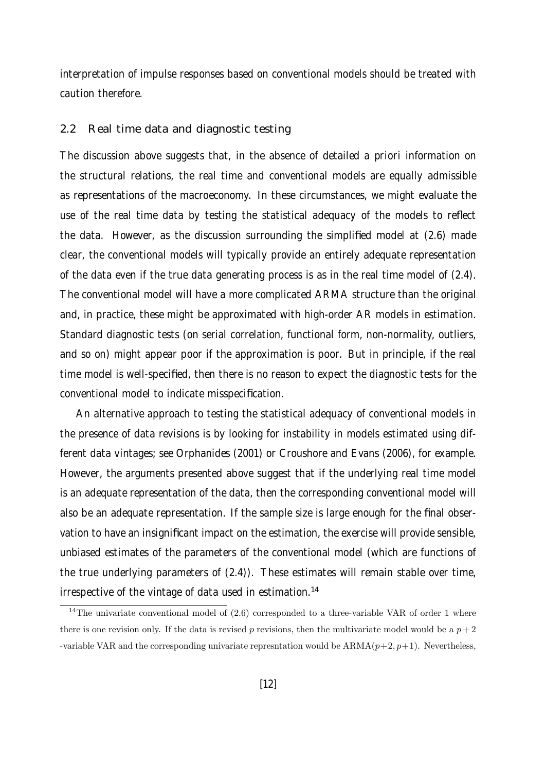interpretation of impulse responses based on conventional models should be treated with caution therefore.

## 2.2 Real time data and diagnostic testing

The discussion above suggests that, in the absence of detailed a priori information on the structural relations, the real time and conventional models are equally admissible as representations of the macroeconomy. In these circumstances, we might evaluate the use of the real time data by testing the statistical adequacy of the models to reflect the data. However, as the discussion surrounding the simplified model at (2.6) made clear, the conventional models will typically provide an entirely adequate representation of the data even if the true data generating process is as in the real time model of (2.4). The conventional model will have a more complicated ARMA structure than the original and, in practice, these might be approximated with high-order AR models in estimation. Standard diagnostic tests (on serial correlation, functional form, non-normality, outliers, and so on) might appear poor if the approximation is poor. But in principle, if the real time model is well-specified, then there is no reason to expect the diagnostic tests for the conventional model to indicate misspecification.

An alternative approach to testing the statistical adequacy of conventional models in the presence of data revisions is by looking for instability in models estimated using different data vintages; see Orphanides (2001) or Croushore and Evans (2006), for example. However, the arguments presented above suggest that if the underlying real time model is an adequate representation of the data, then the corresponding conventional model will also be an adequate representation. If the sample size is large enough for the final observation to have an insignificant impact on the estimation, the exercise will provide sensible, unbiased estimates of the parameters of the conventional model (which are functions of the true underlying parameters of (2.4)). These estimates will remain stable over time, irrespective of the vintage of data used in estimation.<sup>14</sup>

<sup>&</sup>lt;sup>14</sup>The univariate conventional model of  $(2.6)$  corresponded to a three-variable VAR of order 1 where there is one revision only. If the data is revised p revisions, then the multivariate model would be a  $p+2$ -variable VAR and the corresponding univariate represntation would be  $ARMA(p+2, p+1)$ . Nevertheless,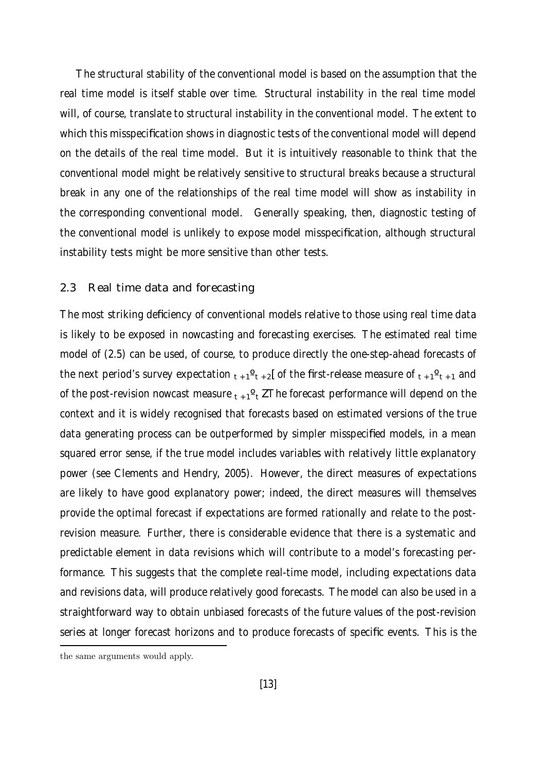The structural stability of the conventional model is based on the assumption that the real time model is itself stable over time. Structural instability in the real time model will, of course, translate to structural instability in the conventional model. The extent to which this misspecification shows in diagnostic tests of the conventional model will depend on the details of the real time model. But it is intuitively reasonable to think that the conventional model might be relatively sensitive to structural breaks because a structural break in any one of the relationships of the real time model will show as instability in the corresponding conventional model. Generally speaking, then, diagnostic testing of the conventional model is unlikely to expose model misspecification, although structural instability tests might be more sensitive than other tests.

# 2.3 Real time data and forecasting

The most striking deficiency of conventional models relative to those using real time data is likely to be exposed in nowcasting and forecasting exercises. The estimated real time model of (2.5) can be used, of course, to produce directly the one-step-ahead forecasts of the next period's survey expectation  $T_{+1}y_{T+2}$ , of the first-release measure of  $T_{+1}y_{T+1}$  and of the post-revision nowcast measure  $T_{+1}y_T$ . The forecast performance will depend on the context and it is widely recognised that forecasts based on estimated versions of the true data generating process can be outperformed by simpler misspecified models, in a mean squared error sense, if the true model includes variables with relatively little explanatory power (see Clements and Hendry, 2005). However, the direct measures of expectations are likely to have good explanatory power; indeed, the direct measures will themselves provide the optimal forecast if expectations are formed rationally and relate to the postrevision measure. Further, there is considerable evidence that there is a systematic and predictable element in data revisions which will contribute to a model's forecasting performance. This suggests that the complete real-time model, including expectations data and revisions data, will produce relatively good forecasts. The model can also be used in a straightforward way to obtain unbiased forecasts of the future values of the post-revision series at longer forecast horizons and to produce forecasts of specific events. This is the

the same arguments would apply.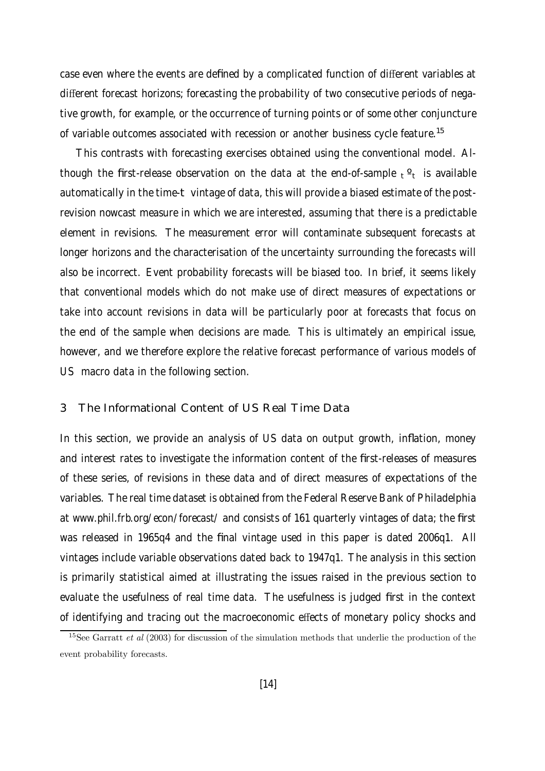case even where the events are defined by a complicated function of different variables at different forecast horizons; forecasting the probability of two consecutive periods of negative growth, for example, or the occurrence of turning points or of some other conjuncture of variable outcomes associated with recession or another business cycle feature.<sup>15</sup>

This contrasts with forecasting exercises obtained using the conventional model. Although the first-release observation on the data at the end-of-sample  $T y_T$  is available automatically in the time-T vintage of data, this will provide a biased estimate of the postrevision nowcast measure in which we are interested, assuming that there is a predictable element in revisions. The measurement error will contaminate subsequent forecasts at longer horizons and the characterisation of the uncertainty surrounding the forecasts will also be incorrect. Event probability forecasts will be biased too. In brief, it seems likely that conventional models which do not make use of direct measures of expectations or take into account revisions in data will be particularly poor at forecasts that focus on the end of the sample when decisions are made. This is ultimately an empirical issue, however, and we therefore explore the relative forecast performance of various models of US macro data in the following section.

# 3 The Informational Content of US Real Time Data

In this section, we provide an analysis of US data on output growth, inflation, money and interest rates to investigate the information content of the first-releases of measures of these series, of revisions in these data and of direct measures of expectations of the variables. The real time dataset is obtained from the Federal Reserve Bank of Philadelphia at www.phil.frb.org/econ/forecast/ and consists of 161 quarterly vintages of data; the first was released in 1965q4 and the final vintage used in this paper is dated 2006q1. All vintages include variable observations dated back to 1947q1. The analysis in this section is primarily statistical aimed at illustrating the issues raised in the previous section to evaluate the usefulness of real time data. The usefulness is judged first in the context of identifying and tracing out the macroeconomic effects of monetary policy shocks and

<sup>&</sup>lt;sup>15</sup>See Garratt *et al* (2003) for discussion of the simulation methods that underlie the production of the event probability forecasts.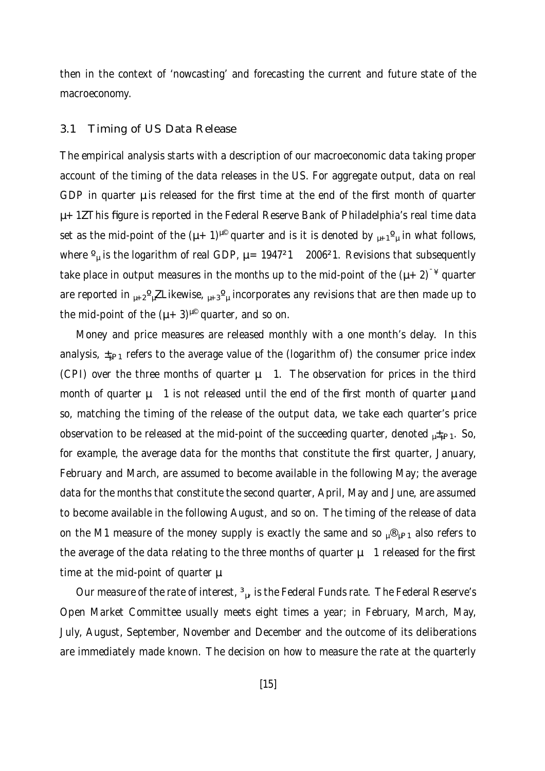then in the context of 'nowcasting' and forecasting the current and future state of the macroeconomy.

#### 3.1 Timing of US Data Release

The empirical analysis starts with a description of our macroeconomic data taking proper account of the timing of the data releases in the US. For aggregate output, data on real GDP in quarter t is released for the first time at the end of the first month of quarter t + 1. This figure is reported in the Federal Reserve Bank of Philadelphia's real time data set as the mid-point of the  $(t + 1)$ <sup>th</sup> quarter and is it is denoted by  $_{t+1}y_t$  in what follows, where  $y_t$  is the logarithm of real GDP, t = 1947q1 - 2006q1. Revisions that subsequently take place in output measures in the months up to the mid-point of the  $(t + 2)^{nd}$  quarter are reported in  $_{t+2}y_t$ . Likewise,  $_{t+3}y_t$  incorporates any revisions that are then made up to the mid-point of the  $(t + 3)$ <sup>th</sup> quarter, and so on.

Money and price measures are released monthly with a one month's delay. In this analysis, p<sub>t-1</sub> refers to the average value of the (logarithm of) the consumer price index (CPI) over the three months of quarter  $t - 1$ . The observation for prices in the third month of quarter t - 1 is not released until the end of the first month of quarter t and so, matching the timing of the release of the output data, we take each quarter's price observation to be released at the mid-point of the succeeding quarter, denoted <sub>tPt−1</sub>. So, for example, the average data for the months that constitute the first quarter, January, February and March, are assumed to become available in the following May; the average data for the months that constitute the second quarter, April, May and June, are assumed to become available in the following August, and so on. The timing of the release of data on the M1 measure of the money supply is exactly the same and so  $t^m t-1$  also refers to the average of the data relating to the three months of quarter t − 1 released for the first time at the mid-point of quarter t.

Our measure of the rate of interest,  $r_t$ , is the Federal Funds rate. The Federal Reserve's Open Market Committee usually meets eight times a year; in February, March, May, July, August, September, November and December and the outcome of its deliberations are immediately made known. The decision on how to measure the rate at the quarterly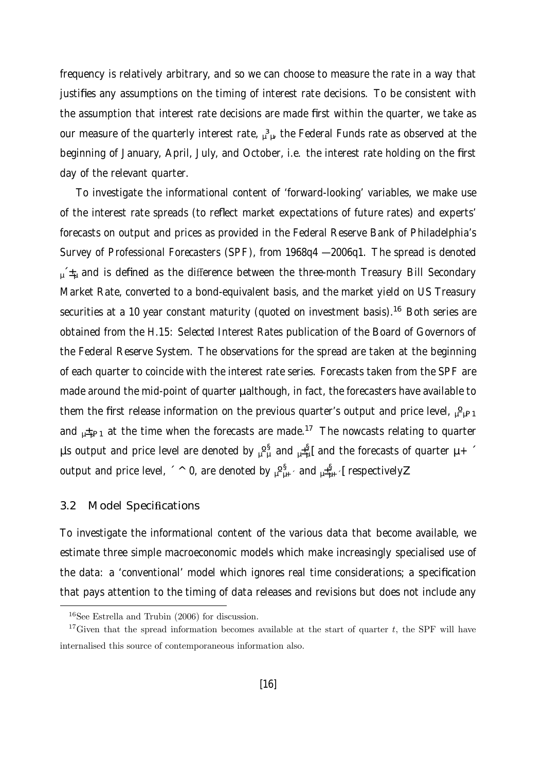frequency is relatively arbitrary, and so we can choose to measure the rate in a way that justifies any assumptions on the timing of interest rate decisions. To be consistent with the assumption that interest rate decisions are made first within the quarter, we take as our measure of the quarterly interest rate,  $_{\rm tr}$ , the Federal Funds rate as observed at the beginning of January, April, July, and October, i.e. the interest rate holding on the first day of the relevant quarter.

To investigate the informational content of 'forward-looking' variables, we make use of the interest rate spreads (to reflect market expectations of future rates) and experts' forecasts on output and prices as provided in the Federal Reserve Bank of Philadelphia's Survey of Professional Forecasters (SPF), from 1968q4 — 2006q1. The spread is denoted  $t$ <sub>t</sub>sp<sub>t</sub> and is defined as the difference between the three-month Treasury Bill Secondary Market Rate, converted to a bond-equivalent basis, and the market yield on US Treasury securities at a 10 year constant maturity (quoted on investment basis).<sup>16</sup> Both series are obtained from the H.15: Selected Interest Rates publication of the Board of Governors of the Federal Reserve System. The observations for the spread are taken at the beginning of each quarter to coincide with the interest rate series. Forecasts taken from the SPF are made around the mid-point of quarter t although, in fact, the forecasters have available to them the first release information on the previous quarter's output and price level,  $t y_{t-1}$ and  $t p_{t-1}$  at the time when the forecasts are made.<sup>17</sup> The nowcasts relating to quarter t's output and price level are denoted by  $_t y_t^f$  and  $_t p_t^f$ , and the forecasts of quarter  $t + s$ output and price level,  $s > 0$ , are denoted by  $_{t}y_{t+s}^{f}$  and  $_{t}p_{t+s}^{f}$ , respectively.

## 3.2 Model Specifications

To investigate the informational content of the various data that become available, we estimate three simple macroeconomic models which make increasingly specialised use of the data: a 'conventional' model which ignores real time considerations; a specification that pays attention to the timing of data releases and revisions but does not include any

<sup>16</sup>See Estrella and Trubin (2006) for discussion.

<sup>&</sup>lt;sup>17</sup>Given that the spread information becomes available at the start of quarter t, the SPF will have internalised this source of contemporaneous information also.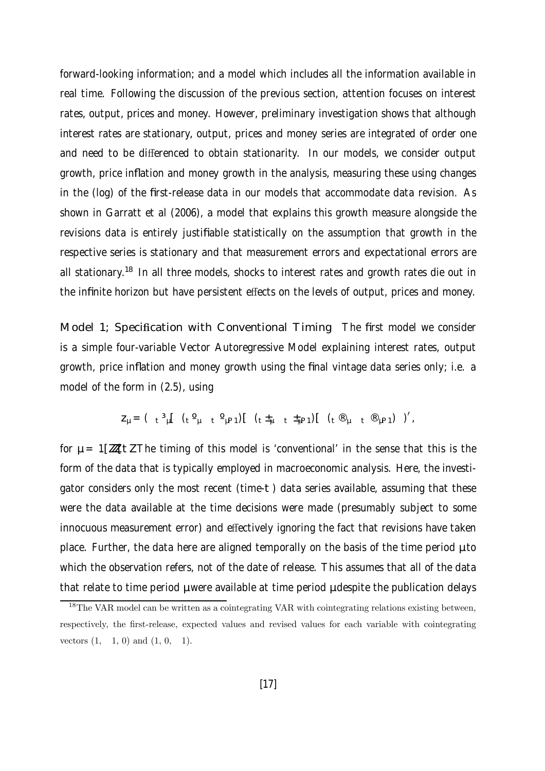forward-looking information; and a model which includes all the information available in real time. Following the discussion of the previous section, attention focuses on interest rates, output, prices and money. However, preliminary investigation shows that although interest rates are stationary, output, prices and money series are integrated of order one and need to be differenced to obtain stationarity. In our models, we consider output growth, price inflation and money growth in the analysis, measuring these using changes in the (log) of the first-release data in our models that accommodate data revision. As shown in Garratt et al (2006), a model that explains this growth measure alongside the revisions data is entirely justifiable statistically on the assumption that growth in the respective series is stationary and that measurement errors and expectational errors are all stationary.<sup>18</sup> In all three models, shocks to interest rates and growth rates die out in the infinite horizon but have persistent effects on the levels of output, prices and money.

Model 1; Specification with Conventional Timing The first model we consider is a simple four-variable Vector Autoregressive Model explaining interest rates, output growth, price inflation and money growth using the final vintage data series only; i.e. a model of the form in (2.5), using

$$
z_{t} = (r_{t}, r_{t}, (r_{t}y_{t} - r_{t}y_{t-1}), (r_{t}p_{t} - r_{t}p_{t-1}), (r_{t}m_{t} - r_{t}m_{t-1})')',
$$

for  $t = 1, ..., T$ . The timing of this model is 'conventional' in the sense that this is the form of the data that is typically employed in macroeconomic analysis. Here, the investigator considers only the most recent (time-T) data series available, assuming that these were the data available at the time decisions were made (presumably subject to some innocuous measurement error) and effectively ignoring the fact that revisions have taken place. Further, the data here are aligned temporally on the basis of the time period t to which the observation refers, not of the date of release. This assumes that all of the data that relate to time period t were available at time period t despite the publication delays

<sup>&</sup>lt;sup>18</sup>The VAR model can be written as a cointegrating VAR with cointegrating relations existing between, respectively, the first-release, expected values and revised values for each variable with cointegrating vectors  $(1, -1, 0)$  and  $(1, 0, -1)$ .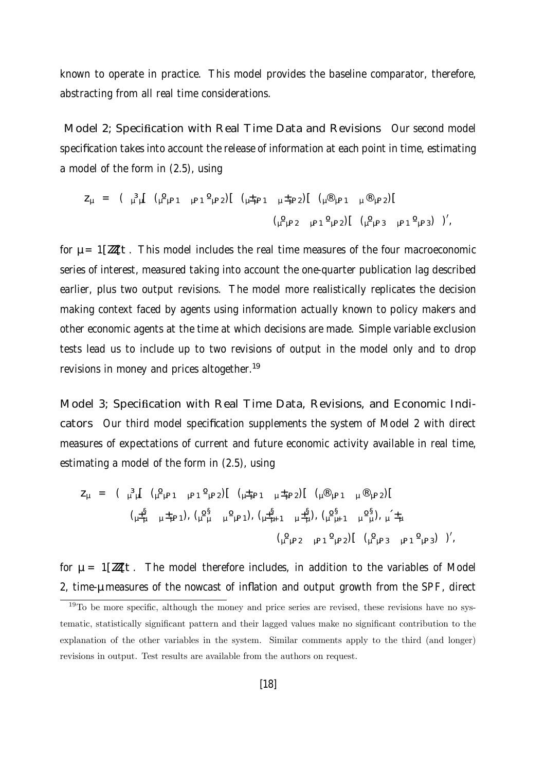known to operate in practice. This model provides the baseline comparator, therefore, abstracting from all real time considerations.

Model 2; Specification with Real Time Data and Revisions Our second model specification takes into account the release of information at each point in time, estimating a model of the form in (2.5), using

$$
z_{t} = (t_{t}r_{t}, (t_{t}y_{t-1} - t_{-1}y_{t-2}), (t_{t}p_{t-1} - t_{t}p_{t-2}), (t_{t}m_{t-1} - t_{t}m_{t-2}),
$$

$$
(t_{t}y_{t-2} - t_{-1}y_{t-2}), (t_{t}y_{t-3} - t_{-1}y_{t-3})')',
$$

for  $t = 1, ..., T$ . This model includes the real time measures of the four macroeconomic series of interest, measured taking into account the one-quarter publication lag described earlier, plus two output revisions. The model more realistically replicates the decision making context faced by agents using information actually known to policy makers and other economic agents at the time at which decisions are made. Simple variable exclusion tests lead us to include up to two revisions of output in the model only and to drop revisions in money and prices altogether.<sup>19</sup>

Model 3; Specification with Real Time Data, Revisions, and Economic Indicators Our third model specification supplements the system of Model 2 with direct measures of expectations of current and future economic activity available in real time, estimating a model of the form in (2.5), using

$$
z_{t} = (t_{t}r_{t}, (t_{t}y_{t-1} - t_{-1}y_{t-2}), (t_{t}p_{t-1} - t_{t}p_{t-2}), (t_{t}m_{t-1} - t_{t}m_{t-2}),
$$
  
\n
$$
(t_{t}p_{t}^{f} - t_{t}p_{t-1}), (t_{t}y_{t}^{f} - t_{t}y_{t-1}), (t_{t}p_{t+1}^{f} - t_{t}p_{t}^{f}), (t_{t}y_{t+1}^{f} - t_{t}y_{t}^{f}), t_{t}p_{t}
$$
  
\n
$$
(t_{t}y_{t-2} - t_{-1}y_{t-2}), (t_{t}y_{t-3} - t_{-1}y_{t-3})')',
$$

for  $t = 1, ..., T$ . The model therefore includes, in addition to the variables of Model 2, time-t measures of the nowcast of inflation and output growth from the SPF, direct

 $19$ To be more specific, although the money and price series are revised, these revisions have no systematic, statistically significant pattern and their lagged values make no significant contribution to the explanation of the other variables in the system. Similar comments apply to the third (and longer) revisions in output. Test results are available from the authors on request.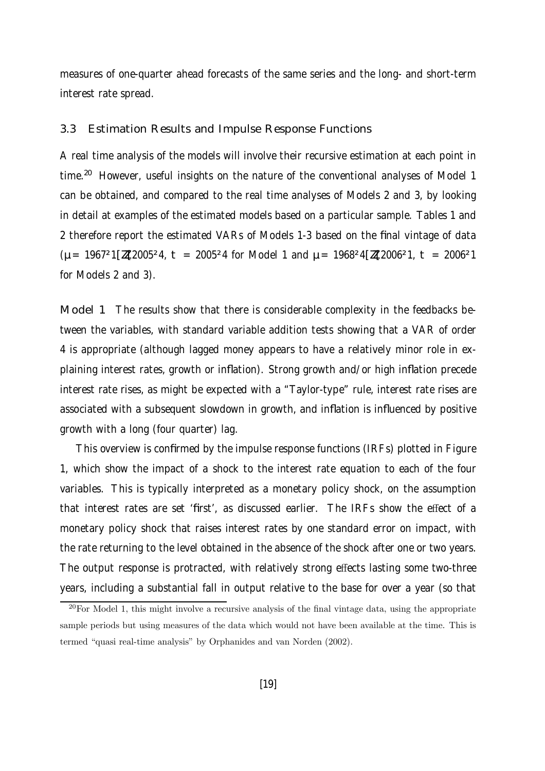measures of one-quarter ahead forecasts of the same series and the long- and short-term interest rate spread.

#### 3.3 Estimation Results and Impulse Response Functions

A real time analysis of the models will involve their recursive estimation at each point in time.<sup>20</sup> However, useful insights on the nature of the conventional analyses of Model 1 can be obtained, and compared to the real time analyses of Models 2 and 3, by looking in detail at examples of the estimated models based on a particular sample. Tables 1 and 2 therefore report the estimated VARs of Models 1-3 based on the final vintage of data  $(t = 1967q1, \ldots, 2005q4, T = 2005q4$  for Model 1 and  $t = 1968q4, \ldots, 2006q1, T = 2006q1$ for Models 2 and 3).

Model 1 The results show that there is considerable complexity in the feedbacks between the variables, with standard variable addition tests showing that a VAR of order 4 is appropriate (although lagged money appears to have a relatively minor role in explaining interest rates, growth or inflation). Strong growth and/or high inflation precede interest rate rises, as might be expected with a "Taylor-type" rule, interest rate rises are associated with a subsequent slowdown in growth, and inflation is influenced by positive growth with a long (four quarter) lag.

This overview is confirmed by the impulse response functions (IRFs) plotted in Figure 1, which show the impact of a shock to the interest rate equation to each of the four variables. This is typically interpreted as a monetary policy shock, on the assumption that interest rates are set 'first', as discussed earlier. The IRFs show the effect of a monetary policy shock that raises interest rates by one standard error on impact, with the rate returning to the level obtained in the absence of the shock after one or two years. The output response is protracted, with relatively strong effects lasting some two-three years, including a substantial fall in output relative to the base for over a year (so that

 $20$ For Model 1, this might involve a recursive analysis of the final vintage data, using the appropriate sample periods but using measures of the data which would not have been available at the time. This is termed "quasi real-time analysis" by Orphanides and van Norden (2002).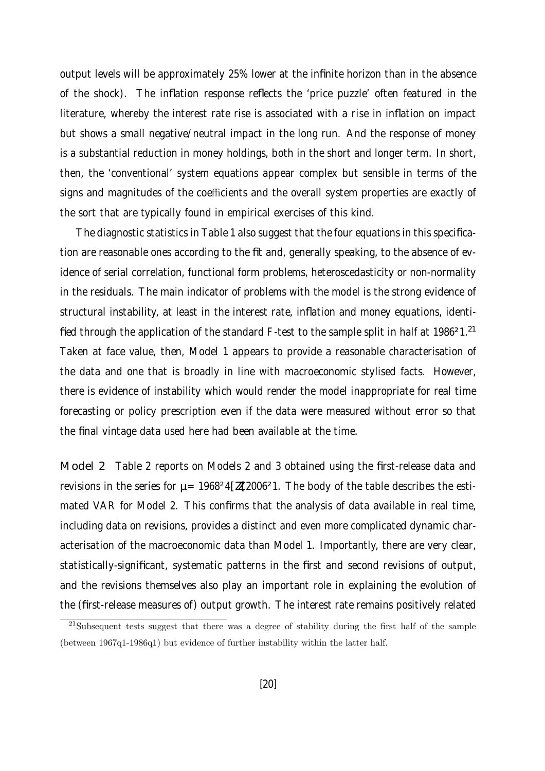output levels will be approximately 25% lower at the infinite horizon than in the absence of the shock). The inflation response reflects the 'price puzzle' often featured in the literature, whereby the interest rate rise is associated with a rise in inflation on impact but shows a small negative/neutral impact in the long run. And the response of money is a substantial reduction in money holdings, both in the short and longer term. In short, then, the 'conventional' system equations appear complex but sensible in terms of the signs and magnitudes of the coefficients and the overall system properties are exactly of the sort that are typically found in empirical exercises of this kind.

The diagnostic statistics in Table 1 also suggest that the four equations in this specification are reasonable ones according to the fit and, generally speaking, to the absence of evidence of serial correlation, functional form problems, heteroscedasticity or non-normality in the residuals. The main indicator of problems with the model is the strong evidence of structural instability, at least in the interest rate, inflation and money equations, identified through the application of the standard  $F$ -test to the sample split in half at 1986q1.<sup>21</sup> Taken at face value, then, Model 1 appears to provide a reasonable characterisation of the data and one that is broadly in line with macroeconomic stylised facts. However, there is evidence of instability which would render the model inappropriate for real time forecasting or policy prescription even if the data were measured without error so that the final vintage data used here had been available at the time.

Model 2 Table 2 reports on Models 2 and 3 obtained using the first-release data and revisions in the series for  $t = 1968q4, \ldots, 2006q1$ . The body of the table describes the estimated VAR for Model 2. This confirms that the analysis of data available in real time, including data on revisions, provides a distinct and even more complicated dynamic characterisation of the macroeconomic data than Model 1. Importantly, there are very clear, statistically-significant, systematic patterns in the first and second revisions of output, and the revisions themselves also play an important role in explaining the evolution of the (first-release measures of) output growth. The interest rate remains positively related

 $^{21}$ Subsequent tests suggest that there was a degree of stability during the first half of the sample (between 1967q1-1986q1) but evidence of further instability within the latter half.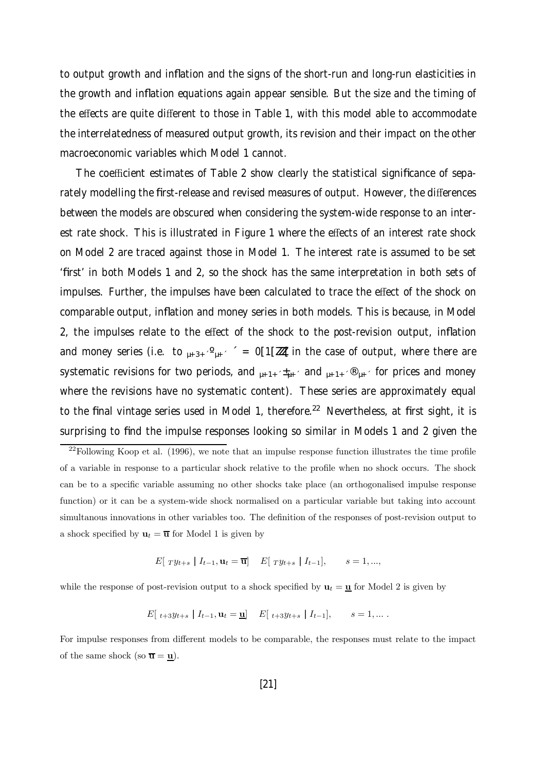to output growth and inflation and the signs of the short-run and long-run elasticities in the growth and inflation equations again appear sensible. But the size and the timing of the effects are quite different to those in Table 1, with this model able to accommodate the interrelatedness of measured output growth, its revision and their impact on the other macroeconomic variables which Model 1 cannot.

The coefficient estimates of Table 2 show clearly the statistical significance of separately modelling the first-release and revised measures of output. However, the differences between the models are obscured when considering the system-wide response to an interest rate shock. This is illustrated in Figure 1 where the effects of an interest rate shock on Model 2 are traced against those in Model 1. The interest rate is assumed to be set 'first' in both Models 1 and 2, so the shock has the same interpretation in both sets of impulses. Further, the impulses have been calculated to trace the effect of the shock on comparable output, inflation and money series in both models. This is because, in Model 2, the impulses relate to the effect of the shock to the post-revision output, inflation and money series (i.e. to  $_{t+3+s}y_{t+s}$  s = 0, 1, ..., in the case of output, where there are systematic revisions for two periods, and  $t_{+1+s}p_{t+s}$  and  $t_{+1+s}m_{t+s}$  for prices and money where the revisions have no systematic content). These series are approximately equal to the final vintage series used in Model 1, therefore.<sup>22</sup> Nevertheless, at first sight, it is surprising to find the impulse responses looking so similar in Models 1 and 2 given the

$$
E[\tau y_{t+s} | I_{t-1}, \mathbf{u}_t = \overline{\mathbf{u}}] - E[\tau y_{t+s} | I_{t-1}], \quad s = 1, ...,
$$

while the response of post-revision output to a shock specified by  $\mathbf{u}_t = \underline{\mathbf{u}}$  for Model 2 is given by

$$
E[_{t+3}y_{t+s} | I_{t-1}, \mathbf{u}_t = \underline{\mathbf{u}}] - E[_{t+3}y_{t+s} | I_{t-1}], \qquad s = 1, \dots
$$

For impulse responses from different models to be comparable, the responses must relate to the impact of the same shock (so  $\overline{\mathbf{u}} = \underline{\mathbf{u}}$ ).

 $22$ Following Koop et al. (1996), we note that an impulse response function illustrates the time profile of a variable in response to a particular shock relative to the profile when no shock occurs. The shock can be to a specific variable assuming no other shocks take place (an orthogonalised impulse response function) or it can be a system-wide shock normalised on a particular variable but taking into account simultanous innovations in other variables too. The definition of the responses of post-revision output to a shock specified by  $\mathbf{u}_t = \overline{\mathbf{u}}$  for Model 1 is given by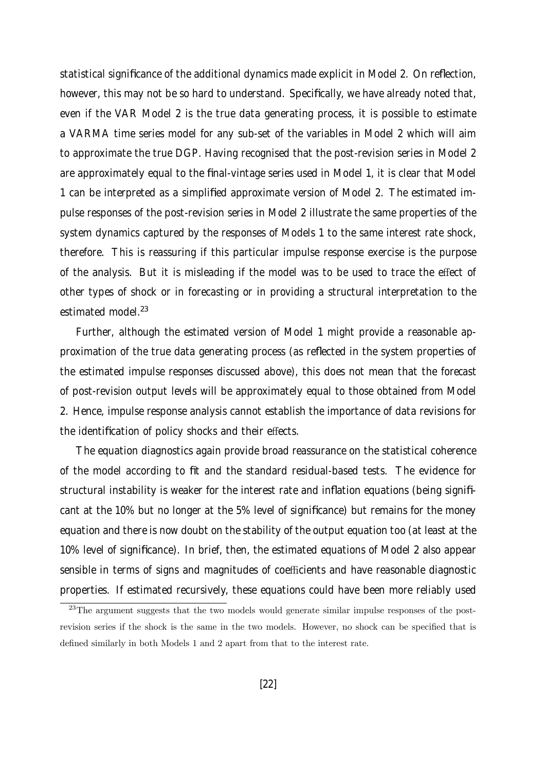statistical significance of the additional dynamics made explicit in Model 2. On reflection, however, this may not be so hard to understand. Specifically, we have already noted that, even if the VAR Model 2 is the true data generating process, it is possible to estimate a VARMA time series model for any sub-set of the variables in Model 2 which will aim to approximate the true DGP. Having recognised that the post-revision series in Model 2 are approximately equal to the final-vintage series used in Model 1, it is clear that Model 1 can be interpreted as a simplified approximate version of Model 2. The estimated impulse responses of the post-revision series in Model 2 illustrate the same properties of the system dynamics captured by the responses of Models 1 to the same interest rate shock, therefore. This is reassuring if this particular impulse response exercise is the purpose of the analysis. But it is misleading if the model was to be used to trace the effect of other types of shock or in forecasting or in providing a structural interpretation to the estimated model.<sup>23</sup>

Further, although the estimated version of Model 1 might provide a reasonable approximation of the true data generating process (as reflected in the system properties of the estimated impulse responses discussed above), this does not mean that the forecast of post-revision output levels will be approximately equal to those obtained from Model 2. Hence, impulse response analysis cannot establish the importance of data revisions for the identification of policy shocks and their effects.

The equation diagnostics again provide broad reassurance on the statistical coherence of the model according to fit and the standard residual-based tests. The evidence for structural instability is weaker for the interest rate and inflation equations (being significant at the 10% but no longer at the 5% level of significance) but remains for the money equation and there is now doubt on the stability of the output equation too (at least at the 10% level of significance). In brief, then, the estimated equations of Model 2 also appear sensible in terms of signs and magnitudes of coefficients and have reasonable diagnostic properties. If estimated recursively, these equations could have been more reliably used

 $^{23}$ The argument suggests that the two models would generate similar impulse responses of the postrevision series if the shock is the same in the two models. However, no shock can be specified that is defined similarly in both Models 1 and 2 apart from that to the interest rate.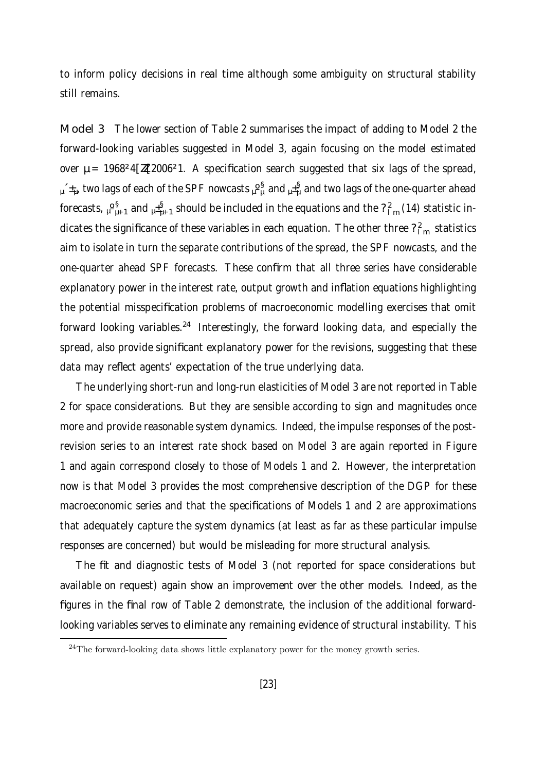to inform policy decisions in real time although some ambiguity on structural stability still remains.

Model 3 The lower section of Table 2 summarises the impact of adding to Model 2 the forward-looking variables suggested in Model 3, again focusing on the model estimated over  $t = 1968q4, \ldots, 2006q1$ . A specification search suggested that six lags of the spread,  $_{\rm t}$ sp $_{\rm t}$ , two lags of each of the SPF nowcasts  $_{\rm t}$ y $_{\rm t}^{\rm f}$  and  $_{\rm t}$ p $_{\rm t}^{\rm f}$  and two lags of the one-quarter ahead forecasts,  $_{\rm t}$ y $_{\rm t+1}^{\rm f}$  and  $_{\rm t}$ p $_{\rm t+1}^{\rm f}$  should be included in the equations and the  $_{\rm L}^{2}$  (14) statistic indicates the significance of these variables in each equation. The other three  $\frac{2}{\text{L}}$  statistics aim to isolate in turn the separate contributions of the spread, the SPF nowcasts, and the one-quarter ahead SPF forecasts. These confirm that all three series have considerable explanatory power in the interest rate, output growth and inflation equations highlighting the potential misspecification problems of macroeconomic modelling exercises that omit forward looking variables.<sup>24</sup> Interestingly, the forward looking data, and especially the spread, also provide significant explanatory power for the revisions, suggesting that these data may reflect agents' expectation of the true underlying data.

The underlying short-run and long-run elasticities of Model 3 are not reported in Table 2 for space considerations. But they are sensible according to sign and magnitudes once more and provide reasonable system dynamics. Indeed, the impulse responses of the postrevision series to an interest rate shock based on Model 3 are again reported in Figure 1 and again correspond closely to those of Models 1 and 2. However, the interpretation now is that Model 3 provides the most comprehensive description of the DGP for these macroeconomic series and that the specifications of Models 1 and 2 are approximations that adequately capture the system dynamics (at least as far as these particular impulse responses are concerned) but would be misleading for more structural analysis.

The fit and diagnostic tests of Model 3 (not reported for space considerations but available on request) again show an improvement over the other models. Indeed, as the figures in the final row of Table 2 demonstrate, the inclusion of the additional forwardlooking variables serves to eliminate any remaining evidence of structural instability. This

<sup>24</sup>The forward-looking data shows little explanatory power for the money growth series.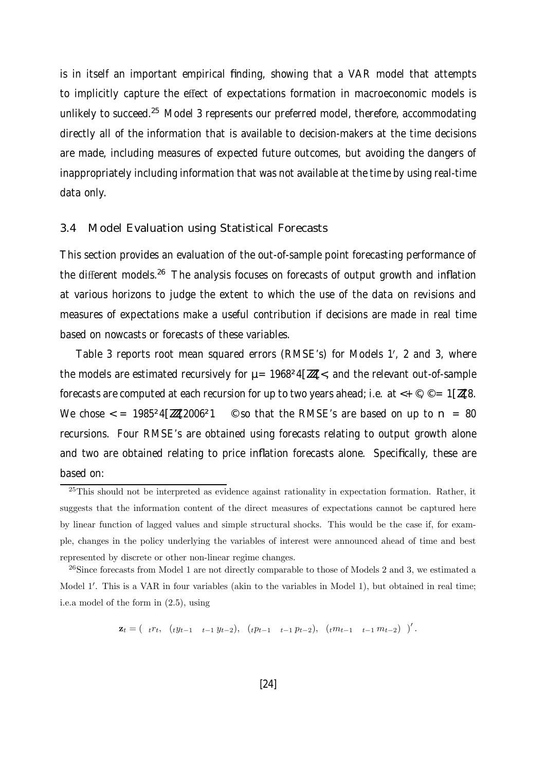is in itself an important empirical finding, showing that a VAR model that attempts to implicitly capture the effect of expectations formation in macroeconomic models is unlikely to succeed.<sup>25</sup> Model 3 represents our preferred model, therefore, accommodating directly all of the information that is available to decision-makers at the time decisions are made, including measures of expected future outcomes, but avoiding the dangers of inappropriately including information that was not available at the time by using real-time data only.

# 3.4 Model Evaluation using Statistical Forecasts

This section provides an evaluation of the out-of-sample point forecasting performance of the different models.<sup>26</sup> The analysis focuses on forecasts of output growth and inflation at various horizons to judge the extent to which the use of the data on revisions and measures of expectations make a useful contribution if decisions are made in real time based on nowcasts or forecasts of these variables.

Table 3 reports root mean squared errors (RMSE's) for Models 1', 2 and 3, where the models are estimated recursively for  $t = 1968q4,...,$  and the relevant out-of-sample forecasts are computed at each recursion for up to two years ahead; i.e. at  $+h$ , h = 1, .., 8. We chose  $= 1985q4$ , ..., 2006q1 – h so that the RMSE's are based on up to N = 80 recursions. Four RMSE's are obtained using forecasts relating to output growth alone and two are obtained relating to price inflation forecasts alone. Specifically, these are based on:

 $^{26}$ Since forecasts from Model 1 are not directly comparable to those of Models 2 and 3, we estimated a Model 1'. This is a VAR in four variables (akin to the variables in Model 1), but obtained in real time; i.e.a model of the form in (2.5), using

$$
\mathbf{z}_t = (t_t r_t, (t y_{t-1} - t_{t-1} y_{t-2}), (t p_{t-1} - t_{t-1} p_{t-2}), (t m_{t-1} - t_{t-1} m_{t-2})')'
$$

 $25$ This should not be interpreted as evidence against rationality in expectation formation. Rather, it suggests that the information content of the direct measures of expectations cannot be captured here by linear function of lagged values and simple structural shocks. This would be the case if, for example, changes in the policy underlying the variables of interest were announced ahead of time and best represented by discrete or other non-linear regime changes.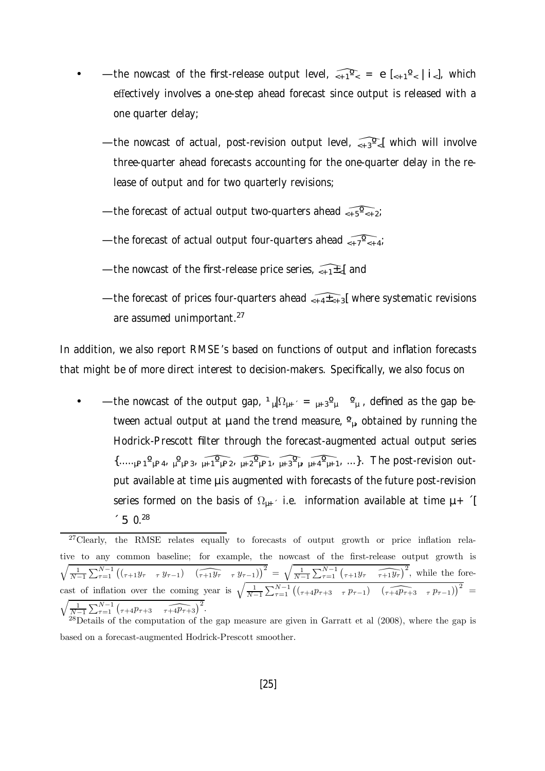- the nowcast of the first-release output level,  $\widehat{+1y} = E_{+1y} | I |$ , which effectively involves a one-step ahead forecast since output is released with a one quarter delay;
	- the nowcast of actual, post-revision output level,  $\widehat{+3y}$ , which will involve three-quarter ahead forecasts accounting for the one-quarter delay in the release of output and for two quarterly revisions;
	- the forecast of actual output two-quarters ahead  $\widehat{+5\gamma +2}$ ;
	- the forecast of actual output four-quarters ahead  $\widehat{+7\gamma_{+4}}$ ;
	- the nowcast of the first-release price series,  $\widehat{p+1p}$ , and
	- the forecast of prices four-quarters ahead  $\widehat{+4\mathsf{p}_{+3}}$ , where systematic revisions are assumed unimportant.<sup>27</sup>

In addition, we also report RMSE's based on functions of output and inflation forecasts that might be of more direct interest to decision-makers. Specifically, we also focus on

• – the nowcast of the output gap,  $x_t|\Omega_{t+s} = t_{+3}y_t - \tilde{y}_t$ , defined as the gap between actual output at t and the trend measure,  $\tilde{y}_t$ , obtained by running the Hodrick-Prescott filter through the forecast-augmented actual output series  ${\ldots}$ t−1yt−4, tyt−3, t+1yt−2, t+2yt−1, t+3yt, t+4yt+1, ...}. The post-revision output available at time t is augmented with forecasts of the future post-revision series formed on the basis of  $\Omega_{t+s}$  i.e. information available at time t + s,  $S = 0.^{28}$ 

<sup>&</sup>lt;sup>27</sup>Clearly, the RMSE relates equally to forecasts of output growth or price inflation relative to any common baseline; for example, the nowcast of the first-release output growth is  $\sqrt{1}$  $\frac{1}{N-1}\sum_{\tau=1}^{N-1} ((\tau+1y_{\tau}-\tau y_{\tau-1}) - (\widehat{\tau+1y_{\tau}} - \tau y_{\tau-1}))^2 = \sqrt{\frac{1}{N-1}}$  $\frac{1}{N-1}\sum_{\tau=1}^{N-1} \left(\tau+1\mathcal{Y}\tau-\widehat{\tau+1\mathcal{Y}\tau}\right)^2$ , while the forecast of inflation over the coming year is  $\sqrt{\frac{1}{N-1}\sum_{\tau=1}^{N-1}((\tau+4p_{\tau+3}-\tau p_{\tau-1})-(\tau+4p_{\tau+3}-\tau p_{\tau-1}))^2}$  $\sqrt{1}$  $\frac{1}{N-1} \sum_{\tau=1}^{N-1} \left( \tau + 4p_{\tau+3} - \widehat{\tau + 4p_{\tau+3}} \right)^2.$ 

 $^{28}$ Details of the computation of the gap measure are given in Garratt et al  $(2008)$ , where the gap is based on a forecast-augmented Hodrick-Prescott smoother.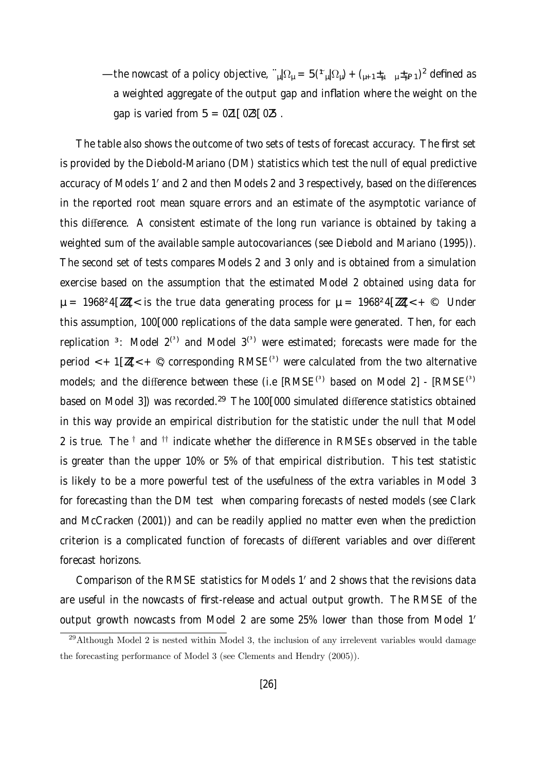— the nowcast of a policy objective,  $g_t|\Omega_t = (\tilde{X}_t|\Omega_t) + (t_{t+1}p_t - t p_{t-1})^2$  defined as a weighted aggregate of the output gap and inflation where the weight on the gap is varied from  $= 0.1, 0.3, 0.5$ .

The table also shows the outcome of two sets of tests of forecast accuracy. The first set is provided by the Diebold-Mariano (DM) statistics which test the null of equal predictive accuracy of Models 1' and 2 and then Models 2 and 3 respectively, based on the differences in the reported root mean square errors and an estimate of the asymptotic variance of this difference. A consistent estimate of the long run variance is obtained by taking a weighted sum of the available sample autocovariances (see Diebold and Mariano (1995)). The second set of tests compares Models 2 and 3 only and is obtained from a simulation exercise based on the assumption that the estimated Model 2 obtained using data for  $t = 1968q4$ , ..., is the true data generating process for  $t = 1968q4$ , ..., + h. Under this assumption, 100, 000 replications of the data sample were generated. Then, for each replication r: Model  $2<sup>(r)</sup>$  and Model  $3<sup>(r)</sup>$  were estimated; forecasts were made for the period  $+1, ...$  + h; corresponding RMSE<sup>(r)</sup> were calculated from the two alternative models; and the difference between these (i.e [RMSE<sup>(r)</sup> based on Model 2] - [RMSE<sup>(r)</sup> based on Model 3]) was recorded.<sup>29</sup> The 100, 000 simulated difference statistics obtained in this way provide an empirical distribution for the statistic under the null that Model 2 is true. The  $<sup>†</sup>$  and  $<sup>†</sup>$  indicate whether the difference in RMSEs observed in the table</sup></sup> is greater than the upper 10% or 5% of that empirical distribution. This test statistic is likely to be a more powerful test of the usefulness of the extra variables in Model 3 for forecasting than the DM test when comparing forecasts of nested models (see Clark and McCracken (2001)) and can be readily applied no matter even when the prediction criterion is a complicated function of forecasts of different variables and over different forecast horizons.

Comparison of the RMSE statistics for Models 1' and 2 shows that the revisions data are useful in the nowcasts of first-release and actual output growth. The RMSE of the output growth nowcasts from Model 2 are some 25% lower than those from Model 1'

<sup>&</sup>lt;sup>29</sup>Although Model 2 is nested within Model 3, the inclusion of any irrelevent variables would damage the forecasting performance of Model 3 (see Clements and Hendry (2005)).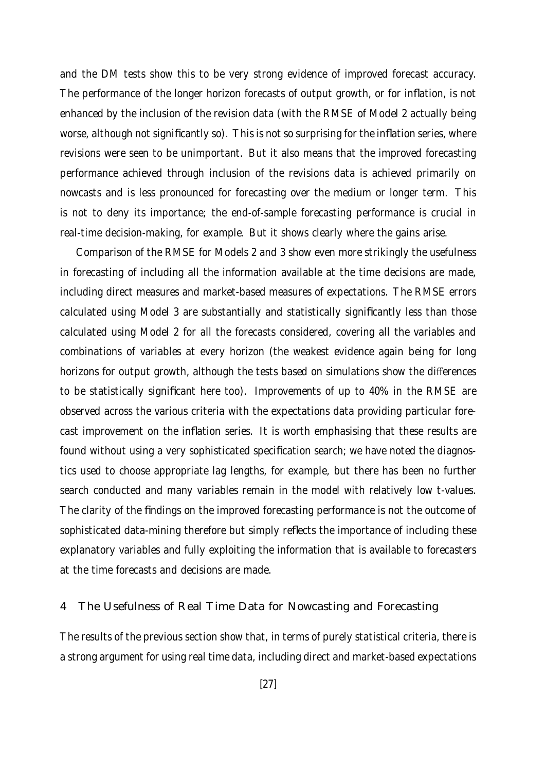and the DM tests show this to be very strong evidence of improved forecast accuracy. The performance of the longer horizon forecasts of output growth, or for inflation, is not enhanced by the inclusion of the revision data (with the RMSE of Model 2 actually being worse, although not significantly so). This is not so surprising for the inflation series, where revisions were seen to be unimportant. But it also means that the improved forecasting performance achieved through inclusion of the revisions data is achieved primarily on nowcasts and is less pronounced for forecasting over the medium or longer term. This is not to deny its importance; the end-of-sample forecasting performance is crucial in real-time decision-making, for example. But it shows clearly where the gains arise.

Comparison of the RMSE for Models 2 and 3 show even more strikingly the usefulness in forecasting of including all the information available at the time decisions are made, including direct measures and market-based measures of expectations. The RMSE errors calculated using Model 3 are substantially and statistically significantly less than those calculated using Model 2 for all the forecasts considered, covering all the variables and combinations of variables at every horizon (the weakest evidence again being for long horizons for output growth, although the tests based on simulations show the differences to be statistically significant here too). Improvements of up to 40% in the RMSE are observed across the various criteria with the expectations data providing particular forecast improvement on the inflation series. It is worth emphasising that these results are found without using a very sophisticated specification search; we have noted the diagnostics used to choose appropriate lag lengths, for example, but there has been no further search conducted and many variables remain in the model with relatively low t-values. The clarity of the findings on the improved forecasting performance is not the outcome of sophisticated data-mining therefore but simply reflects the importance of including these explanatory variables and fully exploiting the information that is available to forecasters at the time forecasts and decisions are made.

# 4 The Usefulness of Real Time Data for Nowcasting and Forecasting

The results of the previous section show that, in terms of purely statistical criteria, there is a strong argument for using real time data, including direct and market-based expectations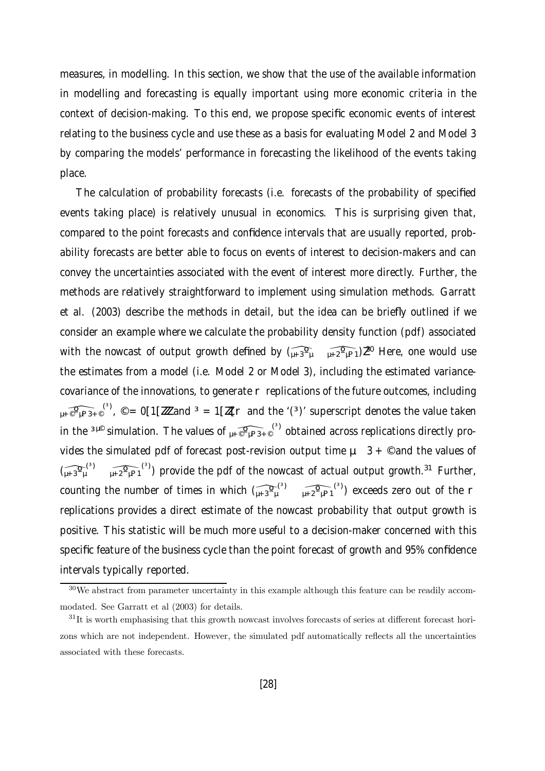measures, in modelling. In this section, we show that the use of the available information in modelling and forecasting is equally important using more economic criteria in the context of decision-making. To this end, we propose specific economic events of interest relating to the business cycle and use these as a basis for evaluating Model 2 and Model 3 by comparing the models' performance in forecasting the likelihood of the events taking place.

The calculation of probability forecasts (i.e. forecasts of the probability of specified events taking place) is relatively unusual in economics. This is surprising given that, compared to the point forecasts and confidence intervals that are usually reported, probability forecasts are better able to focus on events of interest to decision-makers and can convey the uncertainties associated with the event of interest more directly. Further, the methods are relatively straightforward to implement using simulation methods. Garratt et al. (2003) describe the methods in detail, but the idea can be briefly outlined if we consider an example where we calculate the probability density function (pdf) associated with the nowcast of output growth defined by  $(\widehat{t+3}x)$ t $\widehat{t+2}y$ t $-1$ ).<sup>30</sup> Here, one would use the estimates from a model (i.e. Model 2 or Model 3), including the estimated variancecovariance of the innovations, to generate R replications of the future outcomes, including  $\widehat{h_1h_1h_2h_3}$ , h = 0, 1, ... and r = 1, .., R and the '(r)' superscript denotes the value taken in the r<sup>th</sup> simulation. The values of  $\widehat{t+ny_{t-3+h}}^{(r)}$  obtained across replications directly provides the simulated pdf of forecast post-revision output time t − 3 + h and the values of  $(\widehat{t+3}t^{(r)} - \widehat{t+2}t^{(r)})$  provide the pdf of the nowcast of actual output growth.<sup>31</sup> Further, counting the number of times in which  $\widehat{(t+3)}$ t $\widehat{(t')}$  –  $\widehat{t+2}}$  $\widehat{(t')}$  exceeds zero out of the R replications provides a direct estimate of the nowcast probability that output growth is positive. This statistic will be much more useful to a decision-maker concerned with this specific feature of the business cycle than the point forecast of growth and 95% confidence intervals typically reported.

 $30\,\text{We}$  abstract from parameter uncertainty in this example although this feature can be readily accommodated. See Garratt et al (2003) for details.

 $31$ It is worth emphasising that this growth nowcast involves forecasts of series at different forecast horizons which are not independent. However, the simulated pdf automatically reflects all the uncertainties associated with these forecasts.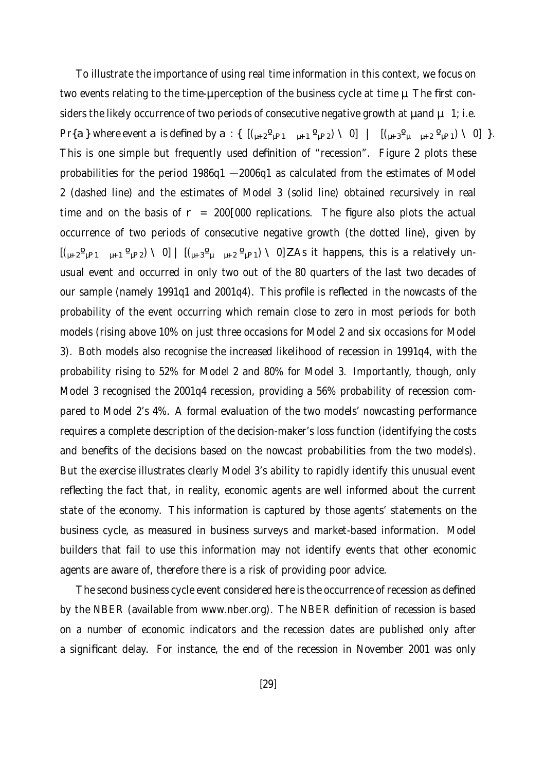To illustrate the importance of using real time information in this context, we focus on two events relating to the time-t perception of the business cycle at time t. The first considers the likely occurrence of two periods of consecutive negative growth at t and t−1; i.e. Pr{A} where event A is defined by A : {  $[(t_{+2}y_{t-1} - t_{+1}y_{t-2}) \lt 0]$   $[(t_{+3}y_{t} - t_{+2}y_{t-1}) \lt 0]$  }. This is one simple but frequently used definition of "recession". Figure 2 plots these probabilities for the period 1986q1 — 2006q1 as calculated from the estimates of Model 2 (dashed line) and the estimates of Model 3 (solid line) obtained recursively in real time and on the basis of R = 200,000 replications. The figure also plots the actual occurrence of two periods of consecutive negative growth (the dotted line), given by  $[(t_{t+2}y_{t-1} - t_{+1}y_{t-2}) < 0]$   $[(t_{t+3}y_t - t_{+2}y_{t-1}) < 0]$ . As it happens, this is a relatively unusual event and occurred in only two out of the 80 quarters of the last two decades of our sample (namely 1991q1 and 2001q4). This profile is reflected in the nowcasts of the probability of the event occurring which remain close to zero in most periods for both models (rising above 10% on just three occasions for Model 2 and six occasions for Model 3). Both models also recognise the increased likelihood of recession in 1991q4, with the probability rising to 52% for Model 2 and 80% for Model 3. Importantly, though, only Model 3 recognised the 2001q4 recession, providing a 56% probability of recession compared to Model 2's 4%. A formal evaluation of the two models' nowcasting performance requires a complete description of the decision-maker's loss function (identifying the costs and benefits of the decisions based on the nowcast probabilities from the two models). But the exercise illustrates clearly Model 3's ability to rapidly identify this unusual event reflecting the fact that, in reality, economic agents are well informed about the current state of the economy. This information is captured by those agents' statements on the business cycle, as measured in business surveys and market-based information. Model builders that fail to use this information may not identify events that other economic agents are aware of, therefore there is a risk of providing poor advice.

The second business cycle event considered here is the occurrence of recession as defined by the NBER (available from www.nber.org). The NBER definition of recession is based on a number of economic indicators and the recession dates are published only after a significant delay. For instance, the end of the recession in November 2001 was only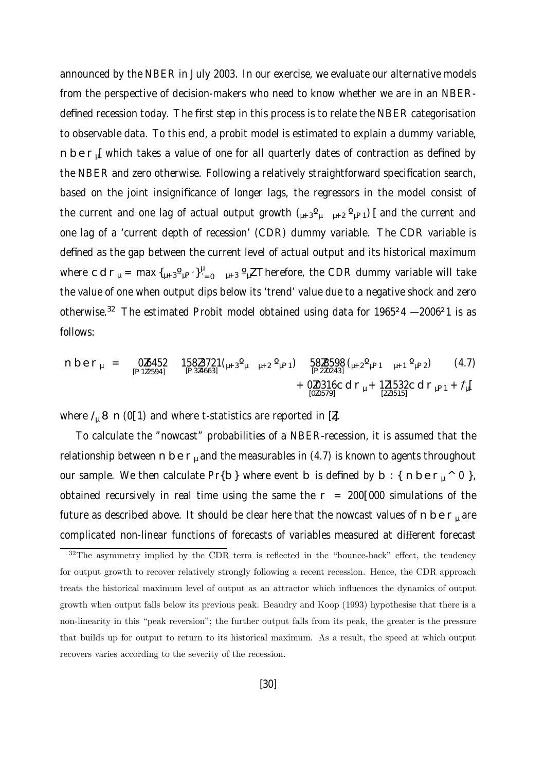announced by the NBER in July 2003. In our exercise, we evaluate our alternative models from the perspective of decision-makers who need to know whether we are in an NBERdefined recession today. The first step in this process is to relate the NBER categorisation to observable data. To this end, a probit model is estimated to explain a dummy variable, NBER<sub>t</sub>, which takes a value of one for all quarterly dates of contraction as defined by the NBER and zero otherwise. Following a relatively straightforward specification search, based on the joint insignificance of longer lags, the regressors in the model consist of the current and one lag of actual output growth  $(t_{+3}y_t - t_{+2}y_{t-1})$ , and the current and one lag of a 'current depth of recession' (CDR) dummy variable. The CDR variable is defined as the gap between the current level of actual output and its historical maximum where CDR<sub>t</sub> = max {<sub>t+3</sub>y<sub>t-s</sub>}<sup>t</sup><sub>s=0</sub> − <sub>t+3</sub> y<sub>t</sub>. Therefore, the CDR dummy variable will take the value of one when output dips below its 'trend' value due to a negative shock and zero otherwise.<sup>32</sup> The estimated Probit model obtained using data for  $1965q4 - 2006q1$  is as follows:

N B E R<sub>t</sub> = 
$$
-0.6452 - 158.3721(t_{+3}y_t - t_{+2}y_{t-1}) - 58.8598(t_{+2}y_{t-1} - t_{+1}y_{t-2})
$$
 (4.7)  
\n $+ 0.0316CD R_t + 1.1532CD R_{t-1} + #_t$   
\n $[0.0579]$ 

where  $#$  N (0, 1) and where t-statistics are reported in [.].

To calculate the "nowcast" probabilities of a NBER-recession, it is assumed that the relationship between N B E R<sub>t</sub> and the measurables in (4.7) is known to agents throughout our sample. We then calculate Pr{B } where event B is defined by B : { N B E R  $_1 > 0$  }, obtained recursively in real time using the same the  $R = 200,000$  simulations of the future as described above. It should be clear here that the nowcast values of NBE  $R_t$  are complicated non-linear functions of forecasts of variables measured at different forecast

 $32$ The asymmetry implied by the CDR term is reflected in the "bounce-back" effect, the tendency for output growth to recover relatively strongly following a recent recession. Hence, the CDR approach treats the historical maximum level of output as an attractor which influences the dynamics of output growth when output falls below its previous peak. Beaudry and Koop (1993) hypothesise that there is a non-linearity in this "peak reversion"; the further output falls from its peak, the greater is the pressure that builds up for output to return to its historical maximum. As a result, the speed at which output recovers varies according to the severity of the recession.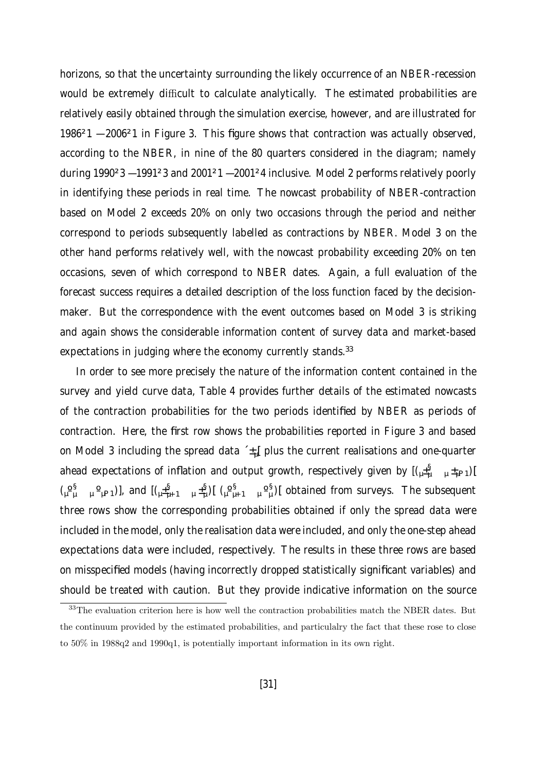horizons, so that the uncertainty surrounding the likely occurrence of an NBER-recession would be extremely difficult to calculate analytically. The estimated probabilities are relatively easily obtained through the simulation exercise, however, and are illustrated for 1986q1 — 2006q1 in Figure 3. This figure shows that contraction was actually observed, according to the NBER, in nine of the 80 quarters considered in the diagram; namely during 1990q3 — 1991q3 and 2001q1 — 2001q4 inclusive. Model 2 performs relatively poorly in identifying these periods in real time. The nowcast probability of NBER-contraction based on Model 2 exceeds 20% on only two occasions through the period and neither correspond to periods subsequently labelled as contractions by NBER. Model 3 on the other hand performs relatively well, with the nowcast probability exceeding 20% on ten occasions, seven of which correspond to NBER dates. Again, a full evaluation of the forecast success requires a detailed description of the loss function faced by the decisionmaker. But the correspondence with the event outcomes based on Model 3 is striking and again shows the considerable information content of survey data and market-based expectations in judging where the economy currently stands. $33$ 

In order to see more precisely the nature of the information content contained in the survey and yield curve data, Table 4 provides further details of the estimated nowcasts of the contraction probabilities for the two periods identified by NBER as periods of contraction. Here, the first row shows the probabilities reported in Figure 3 and based on Model 3 including the spread data  $sp<sub>t</sub>$ , plus the current realisations and one-quarter ahead expectations of inflation and output growth, respectively given by  $[(_tp_f^f -_tp_{t-1})]$ ,  $(ty_t^f - t y_{t-1})$ , and  $[(t p_{t+1}^f - t p_t^f), (t y_{t+1}^f - t y_t^f)]$ , obtained from surveys. The subsequent three rows show the corresponding probabilities obtained if only the spread data were included in the model, only the realisation data were included, and only the one-step ahead expectations data were included, respectively. The results in these three rows are based on misspecified models (having incorrectly dropped statistically significant variables) and should be treated with caution. But they provide indicative information on the source

<sup>&</sup>lt;sup>33</sup>The evaluation criterion here is how well the contraction probabilities match the NBER dates. But the continuum provided by the estimated probabilities, and particulalry the fact that these rose to close to 50% in 1988q2 and 1990q1, is potentially important information in its own right.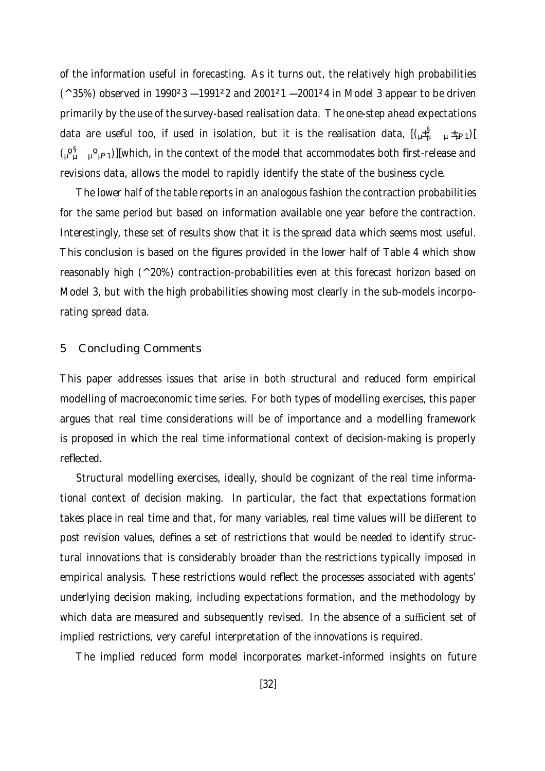of the information useful in forecasting. As it turns out, the relatively high probabilities  $(>35%)$  observed in 1990q3 – 1991q2 and 2001q1 – 2001q4 in Model 3 appear to be driven primarily by the use of the survey-based realisation data. The one-step ahead expectations data are useful too, if used in isolation, but it is the realisation data,  $[(\text{tpf}^{\text{f}}_{t} - \text{tpt-1})$ ,  $(ty_t^f - t y_{t-1})$ , which, in the context of the model that accommodates both first-release and revisions data, allows the model to rapidly identify the state of the business cycle.

The lower half of the table reports in an analogous fashion the contraction probabilities for the same period but based on information available one year before the contraction. Interestingly, these set of results show that it is the spread data which seems most useful. This conclusion is based on the figures provided in the lower half of Table 4 which show reasonably high (>20%) contraction-probabilities even at this forecast horizon based on Model 3, but with the high probabilities showing most clearly in the sub-models incorporating spread data.

# 5 Concluding Comments

This paper addresses issues that arise in both structural and reduced form empirical modelling of macroeconomic time series. For both types of modelling exercises, this paper argues that real time considerations will be of importance and a modelling framework is proposed in which the real time informational context of decision-making is properly reflected.

Structural modelling exercises, ideally, should be cognizant of the real time informational context of decision making. In particular, the fact that expectations formation takes place in real time and that, for many variables, real time values will be different to post revision values, defines a set of restrictions that would be needed to identify structural innovations that is considerably broader than the restrictions typically imposed in empirical analysis. These restrictions would reflect the processes associated with agents' underlying decision making, including expectations formation, and the methodology by which data are measured and subsequently revised. In the absence of a sufficient set of implied restrictions, very careful interpretation of the innovations is required.

The implied reduced form model incorporates market-informed insights on future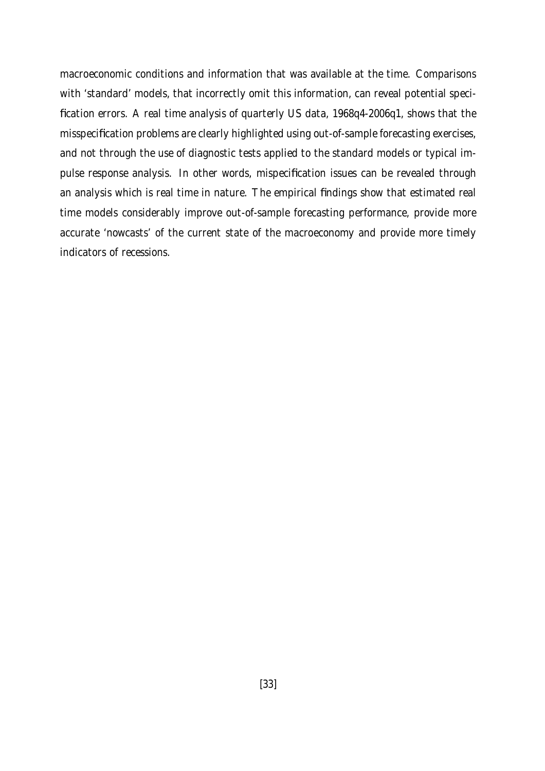macroeconomic conditions and information that was available at the time. Comparisons with 'standard' models, that incorrectly omit this information, can reveal potential specification errors. A real time analysis of quarterly US data, 1968q4-2006q1, shows that the misspecification problems are clearly highlighted using out-of-sample forecasting exercises, and not through the use of diagnostic tests applied to the standard models or typical impulse response analysis. In other words, mispecification issues can be revealed through an analysis which is real time in nature. The empirical findings show that estimated real time models considerably improve out-of-sample forecasting performance, provide more accurate 'nowcasts' of the current state of the macroeconomy and provide more timely indicators of recessions.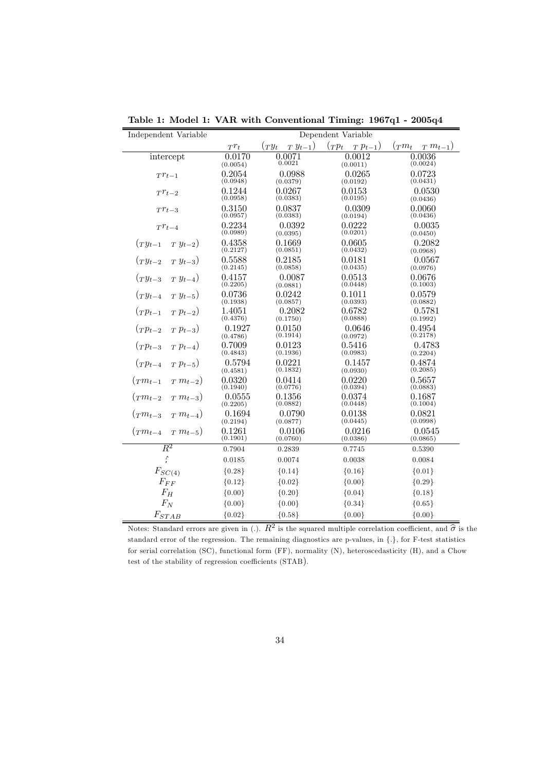| Independent Variable                   |                    | Dependent Variable          |                             |                       |  |  |  |  |  |
|----------------------------------------|--------------------|-----------------------------|-----------------------------|-----------------------|--|--|--|--|--|
|                                        | $T^{r_t}$          | $(\tau y_t - \tau y_{t-1})$ | $({}_T m_t - {}_T m_{t-1})$ |                       |  |  |  |  |  |
| intercept                              | $-0.0170$          | 0.0071<br>0.0021            | $-0.0012$                   | 0.0036                |  |  |  |  |  |
|                                        | (0.0054)<br>0.2054 | $-0.0988$                   | (0.0011)<br>$-0.0265$       | (0.0024)<br>0.0723    |  |  |  |  |  |
| $T^{r}t-1$                             | (0.0948)           | (0.0379)                    | (0.0192)                    | (0.0431)              |  |  |  |  |  |
| $T^{T}t-2$                             | 0.1244             | 0.0267                      | 0.0153                      | $-0.0530$             |  |  |  |  |  |
|                                        | (0.0958)           | (0.0383)                    | (0.0195)                    | (0.0436)              |  |  |  |  |  |
| $T^{r}t-3$                             | 0.3150<br>(0.0957) | 0.0837<br>(0.0383)          | $-0.0309$<br>(0.0194)       | 0.0060<br>(0.0436)    |  |  |  |  |  |
| $T^{r}t-4$                             | 0.2234             | $-0.0392$                   | 0.0222                      | $-0.0035$             |  |  |  |  |  |
|                                        | (0.0989)           | (0.0395)                    | (0.0201)                    | (0.0450)              |  |  |  |  |  |
| $(\tau y_{t-1} - \tau y_{t-2})$        | 0.4358<br>(0.2127) | 0.1669<br>(0.0851)          | 0.0605<br>(0.0432)          | $-0.2082$<br>(0.0968) |  |  |  |  |  |
| $(\tau y_{t-2} - \tau y_{t-3})$        | 0.5588             | 0.2185                      | 0.0181                      | $-0.0567$             |  |  |  |  |  |
|                                        | (0.2145)           | (0.0858)                    | (0.0435)                    | (0.0976)              |  |  |  |  |  |
| $(\tau y_{t-3} - \tau y_{t-4})$        | 0.4157             | $-0.0087$                   | 0.0513                      | 0.0676                |  |  |  |  |  |
|                                        | (0.2205)           | (0.0881)                    | (0.0448)                    | (0.1003)              |  |  |  |  |  |
| $(Ty_{t-4} - T y_{t-5})$               | 0.0736<br>(0.1938) | 0.0242<br>(0.0857)          | 0.1011<br>(0.0393)          | 0.0579<br>(0.0882)    |  |  |  |  |  |
| $\left( T p_{t-1} - T p_{t-2} \right)$ | 1.4051             | $-0.2082$                   | 0.6782                      | $-0.5781$             |  |  |  |  |  |
|                                        | (0.4376)           | (0.1750)                    | (0.0888)                    | (0.1992)              |  |  |  |  |  |
| $\left( T p_{t-2} - T p_{t-3} \right)$ | $-0.1927$          | 0.0150<br>(0.1914)          | – 0.0646                    | 0.4954<br>(0.2178)    |  |  |  |  |  |
| $\left( T p_{t-3} - T p_{t-4} \right)$ | (0.4786)<br>0.7009 | 0.0123                      | (0.0972)<br>0.5416          | $-0.4783$             |  |  |  |  |  |
|                                        | (0.4843)           | (0.1936)                    | (0.0983)                    | (0.2204)              |  |  |  |  |  |
| $(\tau p_{t-4} - \tau p_{t-5})$        | $-0.5794$          | 0.0221                      | $-0.1457$                   | 0.4874                |  |  |  |  |  |
|                                        | (0.4581)           | (0.1832)                    | (0.0930)                    | (0.2085)              |  |  |  |  |  |
| $(Tm_{t-1} - Tm_{t-2})$                | 0.0320<br>(0.1940) | 0.0414<br>(0.0776)          | 0.0220<br>(0.0394)          | 0.5657<br>(0.0883)    |  |  |  |  |  |
| $(Tm_{t-2}-Tm_{t-3})$                  | $-0.0555$          | 0.1356                      | 0.0374                      | 0.1687                |  |  |  |  |  |
|                                        | (0.2205)           | (0.0882)                    | (0.0448)                    | (0.1004)              |  |  |  |  |  |
| $(\tau m_{t-3} - \tau m_{t-4})$        | $-0.1694$          | $-0.0790$                   | 0.0138                      | 0.0821                |  |  |  |  |  |
|                                        | (0.2194)           | (0.0877)                    | (0.0445)                    | (0.0998)              |  |  |  |  |  |
| $(rm_{t-4}-r m_{t-5})$                 | 0.1261<br>(0.1901) | $-0.0106$<br>(0.0760)       | $-0.0216$<br>(0.0386)       | $-0.0545$<br>(0.0865) |  |  |  |  |  |
| $\overline{R^2}$                       | 0.7904             | 0.2839                      | 0.7745                      | 0.5390                |  |  |  |  |  |
|                                        | 0.0185             | 0.0074                      | 0.0038                      | 0.0084                |  |  |  |  |  |
| $F_{SC(4)}$                            | ${0.28}$           | ${0.14}$                    | ${0.16}$                    | ${0.01}$              |  |  |  |  |  |
| $F_{FF}$                               | ${0.12}$           | ${0.02}$                    | ${0.00}$                    | ${0.29}$              |  |  |  |  |  |
| $F_H$                                  | ${0.00}$           | ${0.20}$                    | ${0.04}$                    | ${0.18}$              |  |  |  |  |  |
| $F_N$                                  | ${0.00}$           | ${0.00}$                    | ${0.34}$                    | ${0.65}$              |  |  |  |  |  |
| $F_{STAB}$                             | ${0.02}$           | ${0.58}$                    | ${0.00}$                    | ${0.00}$              |  |  |  |  |  |

Table 1: Model 1: VAR with Conventional Timing: 1967q1 - 2005q4

Notes: Standard errors are given in (.).  $R^2$  is the squared multiple correlation coefficient, and  $\hat{\sigma}$  is the standard error of the regression. The remaining diagnostics are p-values, in {.}, for F-test statistics for serial correlation (SC), functional form (FF), normality (N), heteroscedasticity (H), and a Chow test of the stability of regression coefficients (STAB).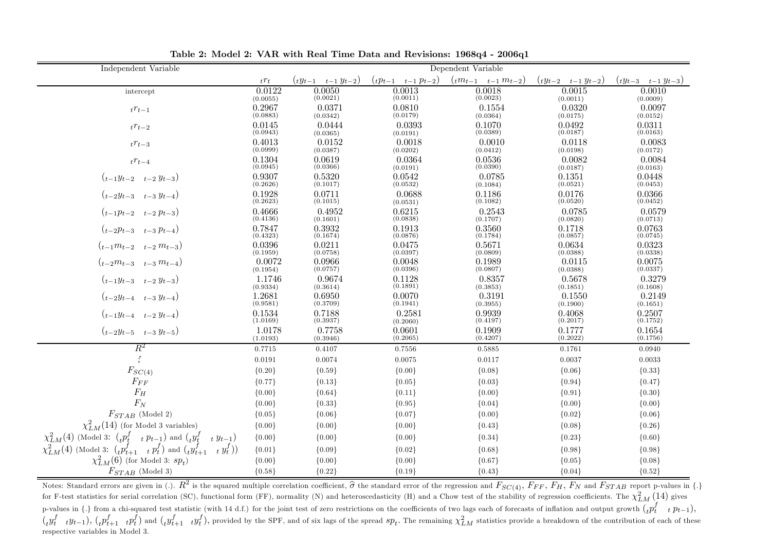| Independent Variable                                                                                               |                       | Dependent Variable            |                               |                                           |                               |                               |  |  |  |
|--------------------------------------------------------------------------------------------------------------------|-----------------------|-------------------------------|-------------------------------|-------------------------------------------|-------------------------------|-------------------------------|--|--|--|
|                                                                                                                    | $_t r_t$              | $(t y_{t-1} - t - 1 y_{t-2})$ | $(t p_{t-1} - t - 1 p_{t-2})$ | $\left(tm_{t-1}-t-1\right)m_{t-2}\right)$ | $(t y_{t-2} - t - 1 y_{t-2})$ | $(t y_{t-3} - t - 1 y_{t-3})$ |  |  |  |
| intercept                                                                                                          | $-0.0122$             | 0.0050                        | 0.0013                        | 0.0018                                    | $-0.0015$                     | $-0.0010$                     |  |  |  |
|                                                                                                                    | (0.0055)<br>0.2967    | (0.0021)<br>$-0.0371$         | (0.0011)<br>0.0810            | (0.0023)<br>$-0.1554$                     | (0.0011)<br>$-0.0320$         | (0.0009)<br>$-0.0097$         |  |  |  |
| $t^{r}t-1$                                                                                                         | (0.0883)              | (0.0342)                      | (0.0179)                      | (0.0364)                                  | (0.0175)                      | (0.0152)                      |  |  |  |
| $t^{\prime}t-2$                                                                                                    | 0.0145                | $-0.0444$                     | $-0.0393$                     | 0.1070                                    | 0.0492                        | 0.0311                        |  |  |  |
|                                                                                                                    | (0.0943)              | (0.0365)                      | (0.0191)                      | (0.0389)                                  | (0.0187)                      | (0.0163)                      |  |  |  |
| $t^{\prime}t-3$                                                                                                    | 0.4013<br>(0.0999)    | $-0.0152$<br>(0.0387)         | $-0.0018$<br>(0.0202)         | $-0.0010$<br>(0.0412)                     | $-0.0118$<br>(0.0198)         | $-0.0083$<br>(0.0172)         |  |  |  |
| $t^{\prime}t-4$                                                                                                    | 0.1304                | 0.0619                        | $-0.0364$                     | 0.0536                                    | $-0.0082$                     | $-0.0084$                     |  |  |  |
|                                                                                                                    | (0.0945)              | (0.0366)                      | (0.0191)                      | (0.0390)                                  | (0.0187)                      | (0.0163)                      |  |  |  |
| $(t-1)y_{t-2} - t-2 y_{t-3})$                                                                                      | 0.9307<br>(0.2626)    | 0.5320<br>(0.1017)            | 0.0542<br>(0.0532)            | $-0.0785$<br>(0.1084)                     | 0.1351<br>(0.0521)            | 0.0448<br>(0.0453)            |  |  |  |
| $(t-2y_{t-3}-t-3y_{t-4})$                                                                                          | 0.1928                | 0.0711                        | $-0.0688$                     | 0.1186                                    | 0.0176                        | 0.0366                        |  |  |  |
|                                                                                                                    | (0.2623)              | (0.1015)                      | (0.0531)                      | (0.1082)                                  | (0.0520)                      | (0.0452)                      |  |  |  |
| $(t-1p_{t-2}-t-2p_{t-3})$                                                                                          | 0.4666<br>(0.4136)    | $-0.4952$<br>(0.1601)         | 0.6215<br>(0.0838)            | $-0.2543$<br>(0.1707)                     | $-0.0785$<br>(0.0820)         | $-0.0579$<br>(0.0713)         |  |  |  |
| $(t-2p_{t-3}-t-3p_{t-4})$                                                                                          | 0.7847                | 0.3932                        | 0.1913                        | 0.3560                                    | 0.1718                        | 0.0763                        |  |  |  |
|                                                                                                                    | (0.4323)              | (0.1674)                      | (0.0876)                      | (0.1784)                                  | (0.0857)                      | (0.0745)                      |  |  |  |
| $\left(t_{-1}m_{t-2}-t_{-2}m_{t-3}\right)$                                                                         | 0.0396<br>(0.1959)    | 0.0211<br>(0.0758)            | 0.0475<br>(0.0397)            | 0.5671<br>(0.0809)                        | 0.0634<br>(0.0388)            | 0.0323<br>(0.0338)            |  |  |  |
| $(t_{-2}m_{t-3}-t_{-3}m_{t-4})$                                                                                    | $-0.0072$             | 0.0966                        | 0.0048                        | 0.1989                                    | $-0.0115$                     | 0.0075                        |  |  |  |
|                                                                                                                    | (0.1954)              | (0.0757)                      | (0.0396)                      | (0.0807)                                  | (0.0388)                      | (0.0337)                      |  |  |  |
| $(t-1y_{t-3}-t-2y_{t-3})$                                                                                          | $-1.1746$<br>(0.9334) | $-0.9674$<br>(0.3614)         | 0.1128<br>(0.1891)            | $-0.8357$<br>(0.3853)                     | $-0.5678$<br>(0.1851)         | $-0.3279$<br>(0.1608)         |  |  |  |
| $(t-2y_{t-4}-t-3y_{t-4})$                                                                                          | 1.2681                | 0.6950                        | 0.0070                        | $-0.3191$                                 | $-0.1550$                     | $-0.2149$                     |  |  |  |
|                                                                                                                    | (0.9581)              | (0.3709)                      | (0.1941)                      | (0.3955)                                  | (0.1900)                      | (0.1651)                      |  |  |  |
| $(t-1)y_{t-4} - t-2 y_{t-4})$                                                                                      | 0.1534<br>(1.0169)    | 0.7188<br>(0.3937)            | $-0.2581$<br>(0.2060)         | 0.9939<br>(0.4197)                        | 0.4068<br>(0.2017)            | 0.2507<br>(0.1752)            |  |  |  |
| $(t-2y_{t-5}-t-3y_{t-5})$                                                                                          | $-1.0178$             | $-0.7758$                     | 0.0601                        | 0.1909                                    | 0.1777                        | 0.1654                        |  |  |  |
|                                                                                                                    | (1.0193)              | (0.3946)                      | (0.2065)                      | (0.4207)                                  | (0.2022)                      | (0.1756)                      |  |  |  |
| $R^2$                                                                                                              | 0.7715                | 0.4107                        | 0.7556                        | 0.5885                                    | 0.1761                        | 0.0940                        |  |  |  |
|                                                                                                                    | 0.0191                | 0.0074                        | 0.0075                        | 0.0117                                    | 0.0037                        | 0.0033                        |  |  |  |
| $F_{SC(4)}$                                                                                                        | ${0.20}$              | ${0.59}$                      | ${0.00}$                      | ${0.08}$                                  | ${0.06}$                      | ${0.33}$                      |  |  |  |
| $\mathcal{F}_{FF}$                                                                                                 | ${0.77}$              | ${0.13}$                      | ${0.05}$                      | ${0.03}$                                  | ${0.94}$                      | ${0.47}$                      |  |  |  |
| $F_H$                                                                                                              | ${0.00}$              | ${0.64}$                      | ${0.11}$                      | ${0.00}$                                  | ${0.91}$                      | ${0.30}$                      |  |  |  |
| $F_N$                                                                                                              | ${0.00}$              | ${0.33}$                      | ${0.95}$                      | ${0.04}$                                  | ${0.00}$                      | ${0.00}$                      |  |  |  |
| $F_{STAB}$ (Model 2)                                                                                               | ${0.05}$              | ${0.06}$                      | ${0.07}$                      | ${0.00}$                                  | ${0.02}$                      | ${0.06}$                      |  |  |  |
| $\chi^2_{LM}(14)$ (for Model 3 variables)                                                                          | ${0.00}$              | ${0.00}$                      | ${0.00}$                      | ${0.43}$                                  | ${0.08}$                      | ${0.26}$                      |  |  |  |
| $\chi^2_{LM}(4)$ (Model 3: $({}_t p_t^f -_t p_{t-1})$ and $({}_t y_t^f -_t y_{t-1})$                               | ${0.00}$              | ${0.00}$                      | ${0.00}$                      | ${0.34}$                                  | ${0.23}$                      | ${0.60}$                      |  |  |  |
| $\chi^{2}_{LM}(4)$ (Model 3: $({}_{t}p_{t+1}^{f} - {_{t}p_{t}^{f}})$ and $({}_{t}y_{t+1}^{f} - {_{t}y_{t}^{f}})$ ) | ${0.01}$              | ${0.09}$                      | ${0.02}$                      | ${0.68}$                                  | ${0.98}$                      | ${0.98}$                      |  |  |  |
| $\chi^2_{LM}(6)$ (for Model 3: $sp_t$ )                                                                            | ${0.00}$              | ${0.00}$                      | ${0.00}$                      | ${0.67}$                                  | ${0.05}$                      | ${0.08}$                      |  |  |  |
| $F_{STAB}$ (Model 3)                                                                                               | ${0.58}$              | ${0.22}$                      | ${0.19}$                      | ${0.43}$                                  | ${0.04}$                      | ${0.52}$                      |  |  |  |

Table 2: Model 2: VAR with Real Time Data and Revisions: 1968q4 - 2006q1

Notes: Standard errors are given in (.).  $R^2$  is the squared multiple correlation coefficient,  $\widehat{\sigma}$  the standard error of the regression and  $F_{SC(4)},\,F_{FF},\,F_H,\,F_N$  and  $F_{STAB}$  report p-values in {.} for F-test statistics for serial correlation (SC), functional form (FF), normality (N) and heteroscedasticity (H) and a Chow test of the stability of regression coefficients. The  $\chi^2_{LM} \, (14)$  gives p-values in {.} from a chi-squared test statistic (with 14 d.f.) for the joint test of zero restrictions on the coefficients of two lags each of forecasts of inflation and output growth  $({}_{t}p_{t}^{f} - {_{t}p_{t-1}}),$  $(t_1y_1^f - t y_{t-1}),\ ({}_tp_{t+1}^f - t p_t^f)$  and  $(t_2y_{t+1}^f - t y_t^f),$  provided by the SPF, and of six lags of the spread  $sp_t.$  The remaining  $\chi^2_{LM}$  statistics provide a breakdown of the contribution of each of these respective variables in Model 3.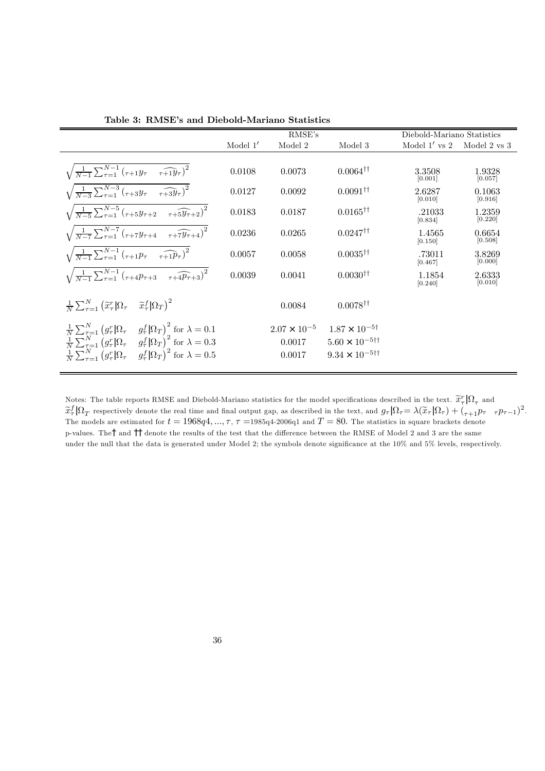|                                                                                                                                                                                                                                                                                                                                                                           |            | RMSE's                | Diebold-Mariano Statistics   |                              |                              |  |
|---------------------------------------------------------------------------------------------------------------------------------------------------------------------------------------------------------------------------------------------------------------------------------------------------------------------------------------------------------------------------|------------|-----------------------|------------------------------|------------------------------|------------------------------|--|
|                                                                                                                                                                                                                                                                                                                                                                           | Model $1'$ | Model 2               | Model 3                      | Model $1'$ vs 2              | Model 2 vs 3                 |  |
| $\sqrt{\frac{1}{N-1}\sum_{\tau=1}^{N-1}(\tau+1)y_{\tau}-\widehat{\tau+1}y_{\tau}})^2$                                                                                                                                                                                                                                                                                     | 0.0108     | 0.0073                | $0.0064^{\dagger\dagger}$    | 3.3508                       | 1.9328                       |  |
| $\sqrt{\frac{1}{N-3}\sum_{\tau=1}^{N-3}(\tau+3y_{\tau}-\widehat{\tau+3y_{\tau}})^2}$                                                                                                                                                                                                                                                                                      | 0.0127     | 0.0092                | $0.0091$ <sup>††</sup>       | [0.001]<br>2.6287<br>[0.010] | [0.057]<br>0.1063<br>[0.916] |  |
| $\sqrt{\frac{1}{N-5}\sum_{\tau=1}^{N-5}(\tau+5y_{\tau+2}-\tau+5y_{\tau+2})^2}$                                                                                                                                                                                                                                                                                            | 0.0183     | 0.0187                | $0.0165^{\dagger\dagger}$    | $-.21033$<br>[0.834]         | 1.2359<br>[0.220]            |  |
| $\sqrt{\frac{1}{N-7}\sum_{\tau=1}^{N-7}(\tau+7\mathcal{Y}_{\tau+4}-\tau+7\mathcal{Y}_{\tau+4})^2}$                                                                                                                                                                                                                                                                        | 0.0236     | 0.0265                | $0.0247^{\dagger\dagger}$    | $-1.4565$<br>[0.150]         | 0.6654<br>[0.508]            |  |
| $\sqrt{\frac{1}{N-1}\sum_{\tau=1}^{N-1}(\tau+1)p_{\tau}-\widehat{\tau+1}p_{\tau}})^2$                                                                                                                                                                                                                                                                                     | 0.0057     | 0.0058                | $0.0035^{\dagger\dagger}$    | $-.73011$<br>[0.467]         | 3.8269<br>[0.000]            |  |
| $\sqrt{\frac{1}{N-1}\sum_{\tau=1}^{N-1}(\tau+4p_{\tau+3}-\tau+4p_{\tau+3})^2}$                                                                                                                                                                                                                                                                                            | 0.0039     | 0.0041                | $0.0030^{\dagger\dagger}$    | $-1.1854$<br>[0.240]         | 2.6333<br>[0.010]            |  |
| $\frac{1}{N} \sum_{\tau=1}^{N} \left( \tilde{x}_{\tau}^{r}   \Omega_{\tau} - \tilde{x}_{\tau}^{f}   \Omega_{T} \right)^{2}$                                                                                                                                                                                                                                               |            | 0.0084                | $0.0078^{\dagger\dagger}$    |                              |                              |  |
| $\begin{array}{l} \frac{1}{N}\sum_{\tau=1}^N \left(g_\tau^r \Omega_\tau-g_\tau^f \Omega_T\right)^2 \; \text{for}\; \lambda=0.1\\ \frac{1}{N}\sum_{\tau=1}^N \left(g_\tau^r \Omega_\tau-g_\tau^f \Omega_T\right)^2 \; \text{for}\; \lambda=0.3\\ \frac{1}{N}\sum_{\tau=1}^N \left(g_\tau^r \Omega_\tau-g_\tau^f \Omega_T\right)^2 \; \text{for}\; \lambda=0.5 \end{array}$ |            | $2.07 \times 10^{-5}$ | $1.87 \times 10^{-5\dagger}$ |                              |                              |  |
|                                                                                                                                                                                                                                                                                                                                                                           |            | 0.0017                | $5.60 \times 10^{-5}$        |                              |                              |  |
|                                                                                                                                                                                                                                                                                                                                                                           |            | 0.0017                | $9.34 \times 10^{-5}$        |                              |                              |  |

Table 3: RMSE's and Diebold-Mariano Statistics

Notes: The table reports RMSE and Diebold-Mariano statistics for the model specifications described in the text.  $\tilde{x}_r^r |\Omega_\tau$  and  $\tilde{z}_r^r$  in the text.  $\tilde{x}_r^r |\Omega_\tau$  and  $\widetilde{x}_{\tau}^f|\Omega_T$  respectively denote the real time and final output gap, as described in the text, and  $g_{\tau}|\Omega_{\tau} = \lambda(\widetilde{x}_{\tau}|\Omega_{\tau}) + (\tau + 1}p_{\tau} - \tau p_{\tau-1})^2$ .<br>The models are estimated for  $t = 1968q4, ..., \tau$ ,  $\tau = 1985q4$ -20 p-values. The† and †† denote the results of the test that the difference between the RMSE of Model 2 and 3 are the same under the null that the data is generated under Model 2; the symbols denote significance at the 10% and 5% levels, respectively.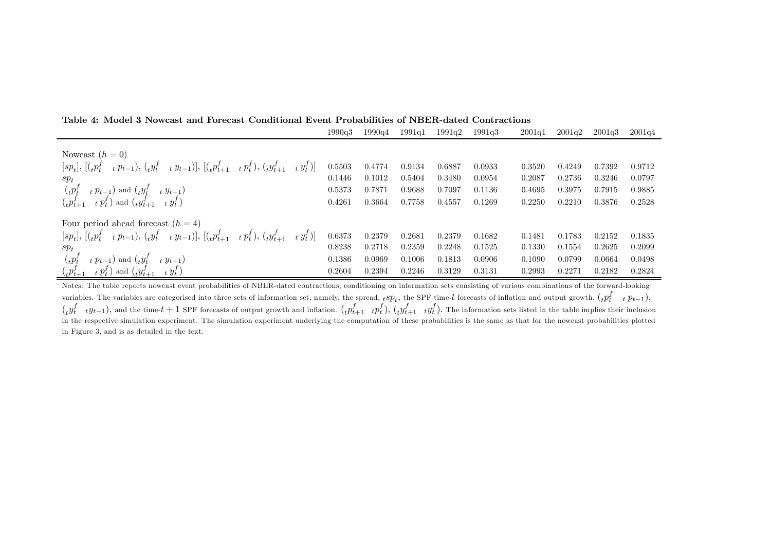|                                                                                                      | 1990a3 | 1990q4 | 1991q1 | 1991q2 | 1991q3 | 2001q1 | 2001q2 | 2001q3 | 2001q4 |
|------------------------------------------------------------------------------------------------------|--------|--------|--------|--------|--------|--------|--------|--------|--------|
|                                                                                                      |        |        |        |        |        |        |        |        |        |
| Nowcast $(h = 0)$                                                                                    |        |        |        |        |        |        |        |        |        |
| $[sp_t], [(p_t^f -_t p_{t-1}), (q_t^f -_t y_{t-1})], [(q_t^f +_1 -_t p_t^f), (q_t^f +_1 -_t y_t^f)]$ | 0.5503 | 0.4774 | 0.9134 | 0.6887 | 0.0933 | 0.3520 | 0.4249 | 0.7392 | 0.9712 |
| $sp_t$                                                                                               | 0.1446 | 0.1012 | 0.5404 | 0.3480 | 0.0954 | 0.2087 | 0.2736 | 0.3246 | 0.0797 |
| $\left(t_{t}p_{t}^{f}-t_{t}p_{t-1}\right)$ and $\left(t_{t}p_{t}^{f}-t_{t}p_{t-1}\right)$            | 0.5373 | 0.7871 | 0.9688 | 0.7097 | 0.1136 | 0.4695 | 0.3975 | 0.7915 | 0.9885 |
| $(\, _t p_{t+1}^f - t \, p_t^f)$ and $(\, _t y_{t+1}^f - t \, y_t^f)$                                | 0.4261 | 0.3664 | 0.7758 | 0.4557 | 0.1269 | 0.2250 | 0.2210 | 0.3876 | 0.2528 |
| Four period ahead forecast $(h = 4)$                                                                 |        |        |        |        |        |        |        |        |        |
| $[sp_t], [(p_t^f -_t p_{t-1}), (y_t^f -_t y_{t-1})], [(p_{t+1}^f -_t p_t^f), (y_{t+1}^f -_t y_t^f)]$ | 0.6373 | 0.2379 | 0.2681 | 0.2379 | 0.1682 | 0.1481 | 0.1783 | 0.2152 | 0.1835 |
| $sp_t$                                                                                               | 0.8238 | 0.2718 | 0.2359 | 0.2248 | 0.1525 | 0.1330 | 0.1554 | 0.2625 | 0.2099 |
| $\frac{f}{t} - t p_{t-1}$ and $\left(t y_t^f - t y_{t-1}\right)$<br>$(_{t}p_{t}^{J}$                 | 0.1386 | 0.0969 | 0.1006 | 0.1813 | 0.0906 | 0.1090 | 0.0799 | 0.0664 | 0.0498 |
| $\left( \frac{t}{t} p_{t+1}^f - t p_t^f \right)$ and $\left( \frac{t}{t+1} - t p_t^f \right)$        | 0.2604 | 0.2394 | 0.2246 | 0.3129 | 0.3131 | 0.2993 | 0.2271 | 0.2182 | 0.2824 |

Table 4: Model 3 Nowcast and Forecast Conditional Event Probabilities of NBER-dated Contractions

Notes: The table reports nowcast event probabilities of NBER-dated contractions, conditioning on information sets consisting of various combinations of the forward-looking variables. The variables are categorised into three sets of information set, namely, the spread,  $_t sp_t$ , the SPF time- $t$  forecasts of inflation and output growth,  $({}_t p_t^f -_t p_{t-1})$ ,  $(t_{t}y_{t}^{f} - t y_{t-1}),$  and the time- $t + 1$  SPF forecasts of output growth and inflation.  $(t_{t}p_{t+1}^{f} - t p_{t}^{f}),$   $(t_{t}y_{t+1}^{f} - t y_{t}^{f})$ . The information sets listed in the table implies their inclusion in the respective simulation experiment. The simulation experiment underlying the computation of these probabilities is the same as that for the nowcast probabilities <sup>p</sup>lotted in Figure 3, and is as detailed in the text.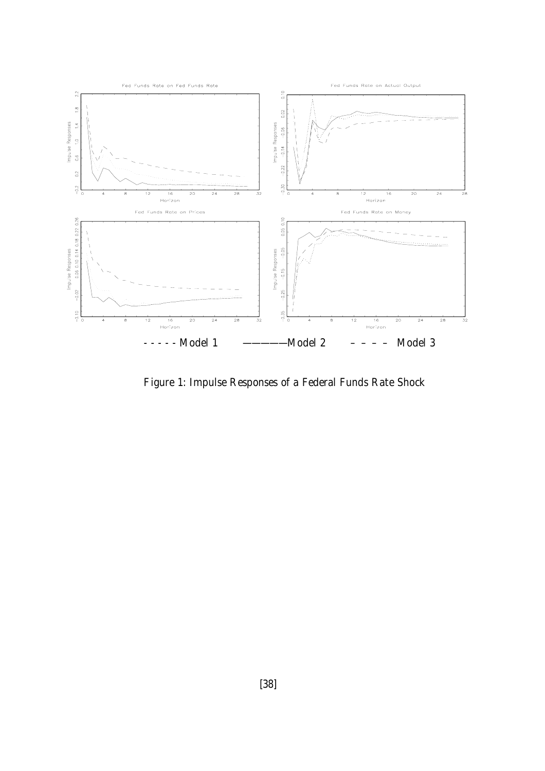

Figure 1: Impulse Responses of a Federal Funds Rate Shock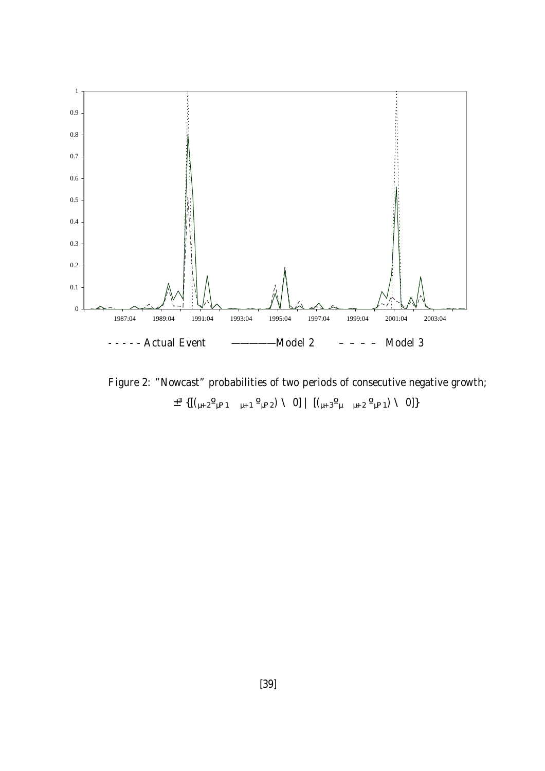

Figure 2: "Nowcast" probabilities of two periods of consecutive negative growth; pr  ${[(t+2)t-1-t+1]t-2} < 0$ ]  $[(t+3)t-t+2]t-1$  < 0]}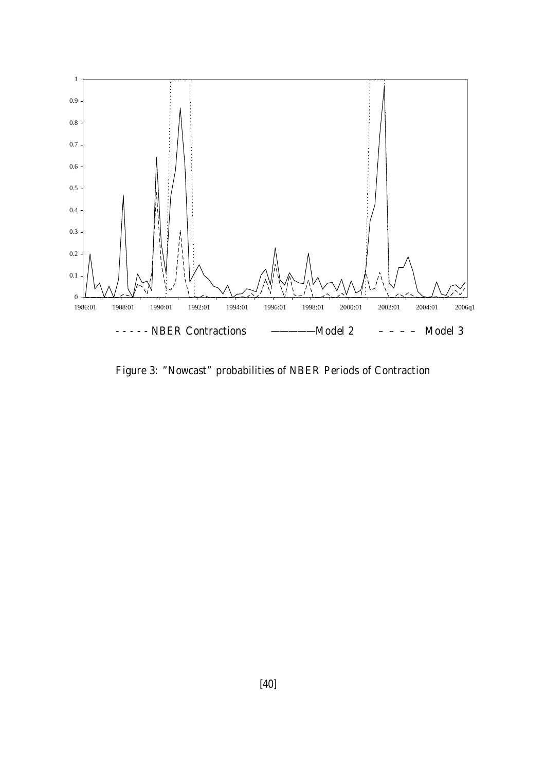

Figure 3: "Nowcast" probabilities of NBER Periods of Contraction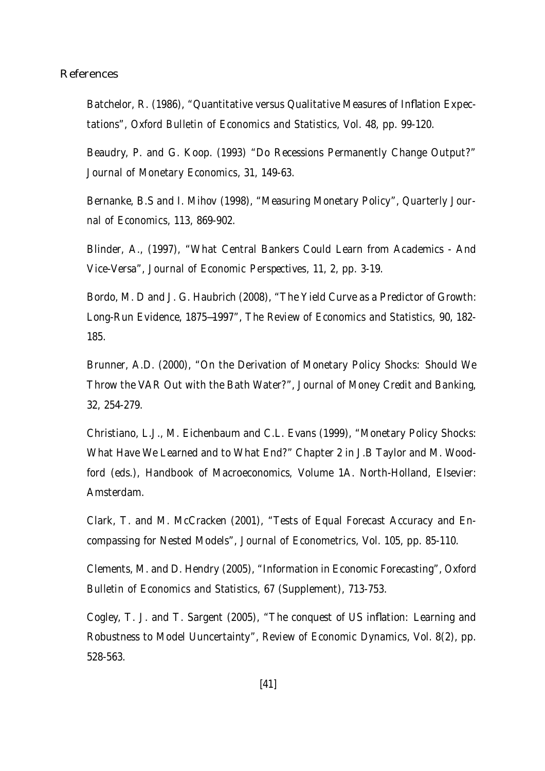#### References

Batchelor, R. (1986), "Quantitative versus Qualitative Measures of Inflation Expectations", Oxford Bulletin of Economics and Statistics, Vol. 48, pp. 99-120.

Beaudry, P. and G. Koop. (1993) "Do Recessions Permanently Change Output?" Journal of Monetary Economics, 31, 149-63.

Bernanke, B.S and I. Mihov (1998), "Measuring Monetary Policy", Quarterly Journal of Economics, 113, 869-902.

Blinder, A., (1997), "What Central Bankers Could Learn from Academics - And Vice-Versa", Journal of Economic Perspectives, 11, 2, pp. 3-19.

Bordo, M. D and J. G. Haubrich (2008), "The Yield Curve as a Predictor of Growth: Long-Run Evidence, 1875—1997", The Review of Economics and Statistics, 90, 182- 185.

Brunner, A.D. (2000), "On the Derivation of Monetary Policy Shocks: Should We Throw the VAR Out with the Bath Water?", Journal of Money Credit and Banking, 32, 254-279.

Christiano, L.J., M. Eichenbaum and C.L. Evans (1999), "Monetary Policy Shocks: What Have We Learned and to What End?" Chapter 2 in J.B Taylor and M. Woodford (eds.), Handbook of Macroeconomics, Volume 1A. North-Holland, Elsevier: Amsterdam.

Clark, T. and M. McCracken (2001), "Tests of Equal Forecast Accuracy and Encompassing for Nested Models", Journal of Econometrics, Vol. 105, pp. 85-110.

Clements, M. and D. Hendry (2005), "Information in Economic Forecasting", Oxford Bulletin of Economics and Statistics, 67 (Supplement), 713-753.

Cogley, T. J. and T. Sargent (2005), "The conquest of US inflation: Learning and Robustness to Model Uuncertainty", Review of Economic Dynamics, Vol. 8(2), pp. 528-563.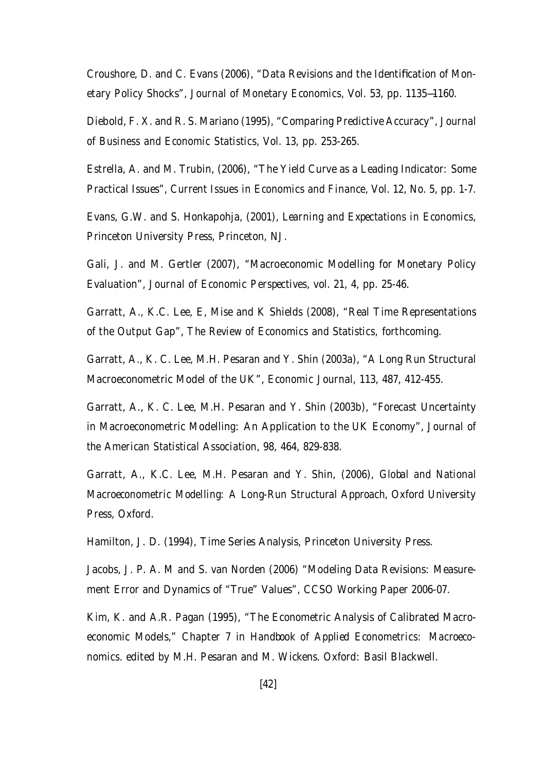Croushore, D. and C. Evans (2006), "Data Revisions and the Identification of Monetary Policy Shocks", Journal of Monetary Economics, Vol. 53, pp. 1135—1160.

Diebold, F. X. and R. S. Mariano (1995), "Comparing Predictive Accuracy", Journal of Business and Economic Statistics, Vol. 13, pp. 253-265.

Estrella, A. and M. Trubin, (2006), "The Yield Curve as a Leading Indicator: Some Practical Issues", Current Issues in Economics and Finance, Vol. 12, No. 5, pp. 1-7.

Evans, G.W. and S. Honkapohja, (2001), Learning and Expectations in Economics, Princeton University Press, Princeton, NJ.

Gali, J. and M. Gertler (2007), "Macroeconomic Modelling for Monetary Policy Evaluation", Journal of Economic Perspectives, vol. 21, 4, pp. 25-46.

Garratt, A., K.C. Lee, E, Mise and K Shields (2008), "Real Time Representations of the Output Gap", The Review of Economics and Statistics, forthcoming.

Garratt, A., K. C. Lee, M.H. Pesaran and Y. Shin (2003a), "A Long Run Structural Macroeconometric Model of the UK", Economic Journal, 113, 487, 412-455.

Garratt, A., K. C. Lee, M.H. Pesaran and Y. Shin (2003b), "Forecast Uncertainty in Macroeconometric Modelling: An Application to the UK Economy", Journal of the American Statistical Association, 98, 464, 829-838.

Garratt, A., K.C. Lee, M.H. Pesaran and Y. Shin, (2006), Global and National Macroeconometric Modelling: A Long-Run Structural Approach, Oxford University Press, Oxford.

Hamilton, J. D. (1994), Time Series Analysis, Princeton University Press.

Jacobs, J. P. A. M and S. van Norden (2006) "Modeling Data Revisions: Measurement Error and Dynamics of "True" Values", CCSO Working Paper 2006-07.

Kim, K. and A.R. Pagan (1995), "The Econometric Analysis of Calibrated Macroeconomic Models," Chapter 7 in Handbook of Applied Econometrics: Macroeconomics. edited by M.H. Pesaran and M. Wickens. Oxford: Basil Blackwell.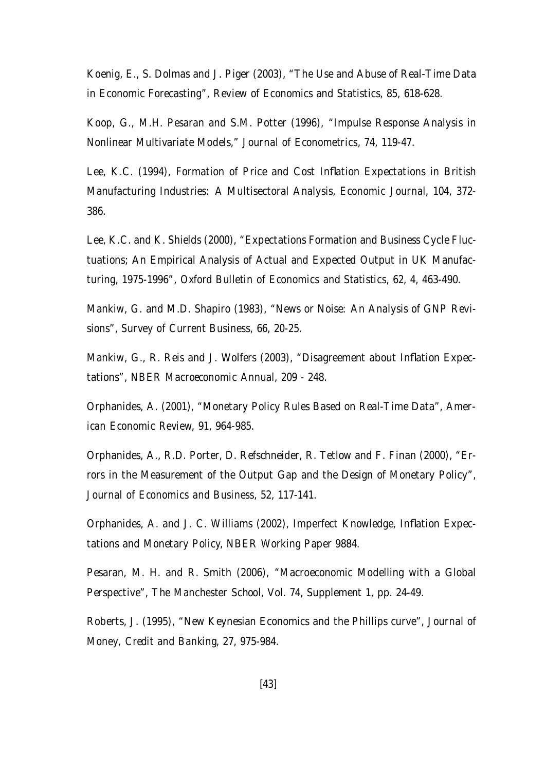Koenig, E., S. Dolmas and J. Piger (2003), "The Use and Abuse of Real-Time Data in Economic Forecasting", Review of Economics and Statistics, 85, 618-628.

Koop, G., M.H. Pesaran and S.M. Potter (1996), "Impulse Response Analysis in Nonlinear Multivariate Models," Journal of Econometrics, 74, 119-47.

Lee, K.C. (1994), Formation of Price and Cost Inflation Expectations in British Manufacturing Industries: A Multisectoral Analysis, Economic Journal, 104, 372- 386.

Lee, K.C. and K. Shields (2000), "Expectations Formation and Business Cycle Fluctuations; An Empirical Analysis of Actual and Expected Output in UK Manufacturing, 1975-1996", Oxford Bulletin of Economics and Statistics, 62, 4, 463-490.

Mankiw, G. and M.D. Shapiro (1983), "News or Noise: An Analysis of GNP Revisions", Survey of Current Business, 66, 20-25.

Mankiw, G., R. Reis and J. Wolfers (2003), "Disagreement about Inflation Expectations", NBER Macroeconomic Annual, 209 - 248.

Orphanides, A. (2001), "Monetary Policy Rules Based on Real-Time Data", American Economic Review, 91, 964-985.

Orphanides, A., R.D. Porter, D. Refschneider, R. Tetlow and F. Finan (2000), "Errors in the Measurement of the Output Gap and the Design of Monetary Policy", Journal of Economics and Business, 52, 117-141.

Orphanides, A. and J. C. Williams (2002), Imperfect Knowledge, Inflation Expectations and Monetary Policy, NBER Working Paper 9884.

Pesaran, M. H. and R. Smith (2006), "Macroeconomic Modelling with a Global Perspective", The Manchester School, Vol. 74, Supplement 1, pp. 24-49.

Roberts, J. (1995), "New Keynesian Economics and the Phillips curve", Journal of Money, Credit and Banking, 27, 975-984.